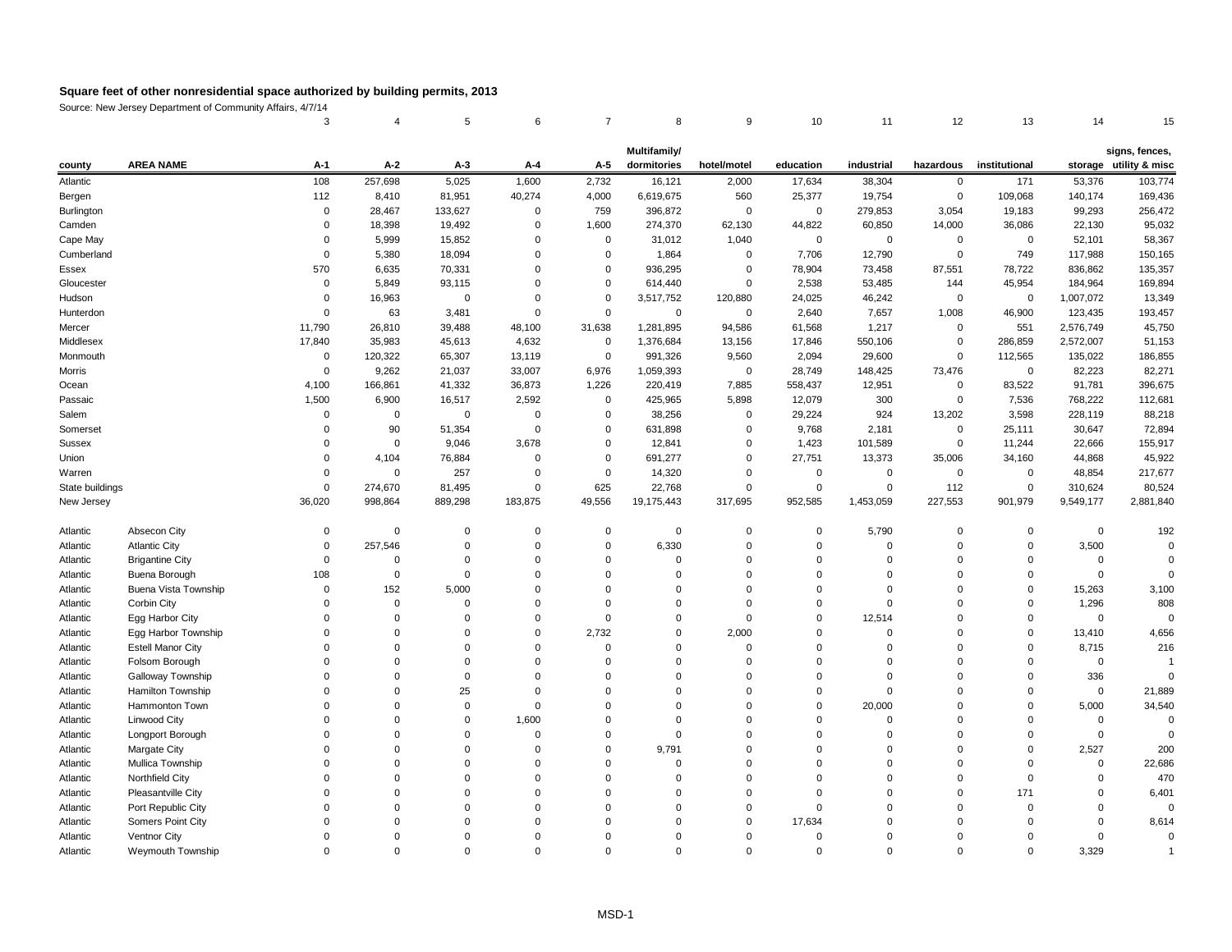Source: New Jersey Department of Community Affairs, 4/7/14

| 3     4     5     6     7     8     9     10     11     12     13     14     15 |  |  |  |  |  |  |
|---------------------------------------------------------------------------------|--|--|--|--|--|--|

|                 |                          |                |              |          |                |                | Multifamily/     |                |             |                |                |                |             | signs, fences,         |
|-----------------|--------------------------|----------------|--------------|----------|----------------|----------------|------------------|----------------|-------------|----------------|----------------|----------------|-------------|------------------------|
| county          | <b>AREA NAME</b>         | $A-1$          | $A-2$        | $A-3$    | $A-4$          | $A-5$          | dormitories      | hotel/motel    | education   | industrial     | hazardous      | institutional  |             | storage utility & misc |
| Atlantic        |                          | 108            | 257,698      | 5,025    | 1,600          | 2,732          | 16,121           | 2,000          | 17,634      | 38,304         | $\overline{0}$ | 171            | 53,376      | 103,774                |
| Bergen          |                          | 112            | 8,410        | 81,951   | 40,274         | 4,000          | 6,619,675        | 560            | 25,377      | 19,754         | $\mathbf 0$    | 109,068        | 140,174     | 169,436                |
| Burlington      |                          | 0              | 28,467       | 133,627  | $\overline{0}$ | 759            | 396,872          | $\overline{0}$ | $\mathbf 0$ | 279,853        | 3,054          | 19,183         | 99,293      | 256,472                |
| Camden          |                          | 0              | 18,398       | 19,492   | $\overline{0}$ | 1,600          | 274,370          | 62,130         | 44,822      | 60,850         | 14,000         | 36,086         | 22,130      | 95,032                 |
| Cape May        |                          | $\Omega$       | 5,999        | 15,852   | $\mathbf 0$    | 0              | 31,012           | 1,040          | 0           | $\overline{0}$ | 0              | $\overline{0}$ | 52,101      | 58,367                 |
| Cumberland      |                          | 0              | 5,380        | 18,094   | 0              | $\mathbf 0$    | 1,864            | $\mathbf 0$    | 7,706       | 12,790         | 0              | 749            | 117,988     | 150,165                |
| Essex           |                          | 570            | 6,635        | 70,331   | $\mathbf 0$    | $\overline{0}$ | 936,295          | 0              | 78,904      | 73,458         | 87,551         | 78,722         | 836,862     | 135,357                |
| Gloucester      |                          | 0              | 5,849        | 93,115   | 0              | $\Omega$       | 614,440          | $\mathbf 0$    | 2,538       | 53,485         | 144            | 45,954         | 184,964     | 169,894                |
| Hudson          |                          | $\Omega$       | 16,963       | 0        | 0              | $\Omega$       | 3,517,752        | 120,880        | 24,025      | 46,242         | 0              | $\overline{0}$ | 1,007,072   | 13,349                 |
| Hunterdon       |                          | 0              | 63           | 3,481    | $\mathbf 0$    | $\overline{0}$ | 0                | $\mathbf 0$    | 2,640       | 7,657          | 1,008          | 46,900         | 123,435     | 193,457                |
| Mercer          |                          | 11,790         | 26,810       | 39,488   | 48,100         | 31,638         | 1,281,895        | 94,586         | 61,568      | 1,217          | 0              | 551            | 2,576,749   | 45,750                 |
| Middlesex       |                          | 17,840         | 35,983       | 45,613   | 4,632          | 0              | 1,376,684        | 13,156         | 17,846      | 550,106        | 0              | 286,859        | 2,572,007   | 51,153                 |
| Monmouth        |                          | 0              | 120,322      | 65,307   | 13,119         | $\mathbf 0$    | 991,326          | 9,560          | 2,094       | 29,600         | 0              | 112,565        | 135,022     | 186,855                |
| Morris          |                          | 0              | 9,262        | 21,037   | 33,007         | 6,976          | 1,059,393        | $\mathbf 0$    | 28,749      | 148,425        | 73,476         | $\overline{0}$ | 82,223      | 82,271                 |
| Ocean           |                          | 4,100          | 166,861      | 41,332   | 36,873         | 1,226          | 220,419          | 7,885          | 558,437     | 12,951         | 0              | 83,522         | 91,781      | 396,675                |
| Passaic         |                          | 1,500          | 6,900        | 16,517   | 2,592          | $\overline{0}$ | 425,965          | 5,898          | 12,079      | 300            | 0              | 7,536          | 768,222     | 112,681                |
| Salem           |                          | 0              | $\mathbf{0}$ | 0        | -0             | 0              | 38,256           | 0              | 29,224      | 924            | 13,202         | 3,598          | 228,119     | 88,218                 |
| Somerset        |                          | 0              | 90           | 51,354   | $\mathbf 0$    | $\overline{0}$ | 631,898          | 0              | 9,768       | 2,181          | 0              | 25,111         | 30,647      | 72,894                 |
| <b>Sussex</b>   |                          | 0              | $\Omega$     | 9,046    | 3,678          | 0              | 12,841           | 0              | 1,423       | 101,589        | 0              | 11,244         | 22,666      | 155,917                |
| Union           |                          | $\Omega$       | 4,104        | 76,884   | 0              | $\overline{0}$ | 691,277          | 0              | 27,751      | 13,373         | 35,006         | 34,160         | 44,868      | 45,922                 |
| Warren          |                          | 0              | $\Omega$     | 257      | 0              | 0              | 14,320           | 0              | 0           | $\mathbf{0}$   | 0              | -0             | 48,854      | 217,677                |
| State buildings |                          | $\overline{0}$ | 274,670      | 81,495   | $\overline{0}$ | 625            | 22,768           | $\mathbf 0$    | $\mathbf 0$ | $\overline{0}$ | 112            | $\mathbf 0$    | 310,624     | 80,524                 |
| New Jersey      |                          | 36,020         | 998,864      | 889,298  | 183,875        | 49,556         | 19,175,443       | 317,695        | 952,585     | 1,453,059      | 227,553        | 901,979        | 9,549,177   | 2,881,840              |
| Atlantic        | Absecon City             | 0              | $\mathbf 0$  | 0        | $\mathbf 0$    | $\mathbf 0$    | $\boldsymbol{0}$ | $\mathbf 0$    | 0           | 5,790          | 0              | 0              | $\mathbf 0$ | 192                    |
| Atlantic        | <b>Atlantic City</b>     | 0              | 257,546      | $\Omega$ | $\mathbf 0$    | $\overline{0}$ | 6,330            | $\mathbf 0$    | $\Omega$    | $\mathbf 0$    | 0              | $\mathbf 0$    | 3,500       |                        |
| Atlantic        | <b>Brigantine City</b>   | $\pmb{0}$      | 0            | 0        | $\Omega$       | $\Omega$       | $\Omega$         | $\Omega$       | $\Omega$    | 0              |                | $\Omega$       | 0           |                        |
| Atlantic        | Buena Borough            | 108            | 0            | O        | $\Omega$       | $\Omega$       |                  | $\mathbf 0$    | $\Omega$    | 0              |                | 0              | 0           |                        |
| Atlantic        | Buena Vista Township     |                | 152          | 5,000    |                |                |                  |                |             |                |                |                | 15,263      | 3,100                  |
| Atlantic        | Corbin City              |                | <sup>0</sup> |          |                |                |                  |                |             |                |                |                | 1,296       | 808                    |
| Atlantic        | Egg Harbor City          |                |              |          |                |                |                  |                |             | 12,514         |                |                |             |                        |
| Atlantic        | Egg Harbor Township      |                |              |          |                | 2,732          |                  | 2,000          |             |                |                |                | 13,410      | 4,656                  |
| Atlantic        | <b>Estell Manor City</b> |                |              |          |                |                |                  |                |             |                |                |                | 8,715       | 216                    |
| Atlantic        | Folsom Borough           |                |              |          |                |                |                  |                |             |                |                |                |             |                        |
| Atlantic        | <b>Galloway Township</b> |                |              |          |                |                |                  |                |             |                |                |                | 336         |                        |
| Atlantic        | Hamilton Township        |                |              |          |                |                |                  |                |             |                |                |                | $\Omega$    | 21,889                 |
| Atlantic        | Hammonton Town           |                |              |          |                |                |                  |                |             | 20,000         |                |                | 5,000       | 34,540                 |
| Atlantic        | <b>Linwood City</b>      |                |              |          | 1,600          |                |                  |                |             |                |                |                |             |                        |
| Atlantic        | Longport Borough         |                |              |          |                |                |                  |                |             |                |                |                |             |                        |
| Atlantic        | <b>Margate City</b>      |                |              |          |                |                | 9,791            |                |             |                |                |                | 2,527       | 200                    |
| Atlantic        | Mullica Township         |                |              |          |                |                |                  |                |             |                |                |                |             | 22,686                 |
| Atlantic        | <b>Northfield City</b>   |                |              |          |                |                |                  |                |             |                |                |                |             | 470                    |
| Atlantic        | Pleasantville City       |                |              |          |                |                |                  |                |             |                |                | 171            |             | 6,401                  |
| Atlantic        | Port Republic City       |                |              |          |                |                |                  |                |             |                |                |                |             |                        |
| Atlantic        | Somers Point City        |                |              |          |                |                |                  |                | 17,634      |                |                |                |             | 8,614                  |
| Atlantic        | Ventnor City             |                |              |          |                |                |                  |                |             |                |                |                |             |                        |
| Atlantic        | Weymouth Township        | $\mathbf{0}$   | $\Omega$     |          | $\Omega$       | ∩              |                  | $\Omega$       | $\Omega$    | 0              |                | $\Omega$       | 3,329       |                        |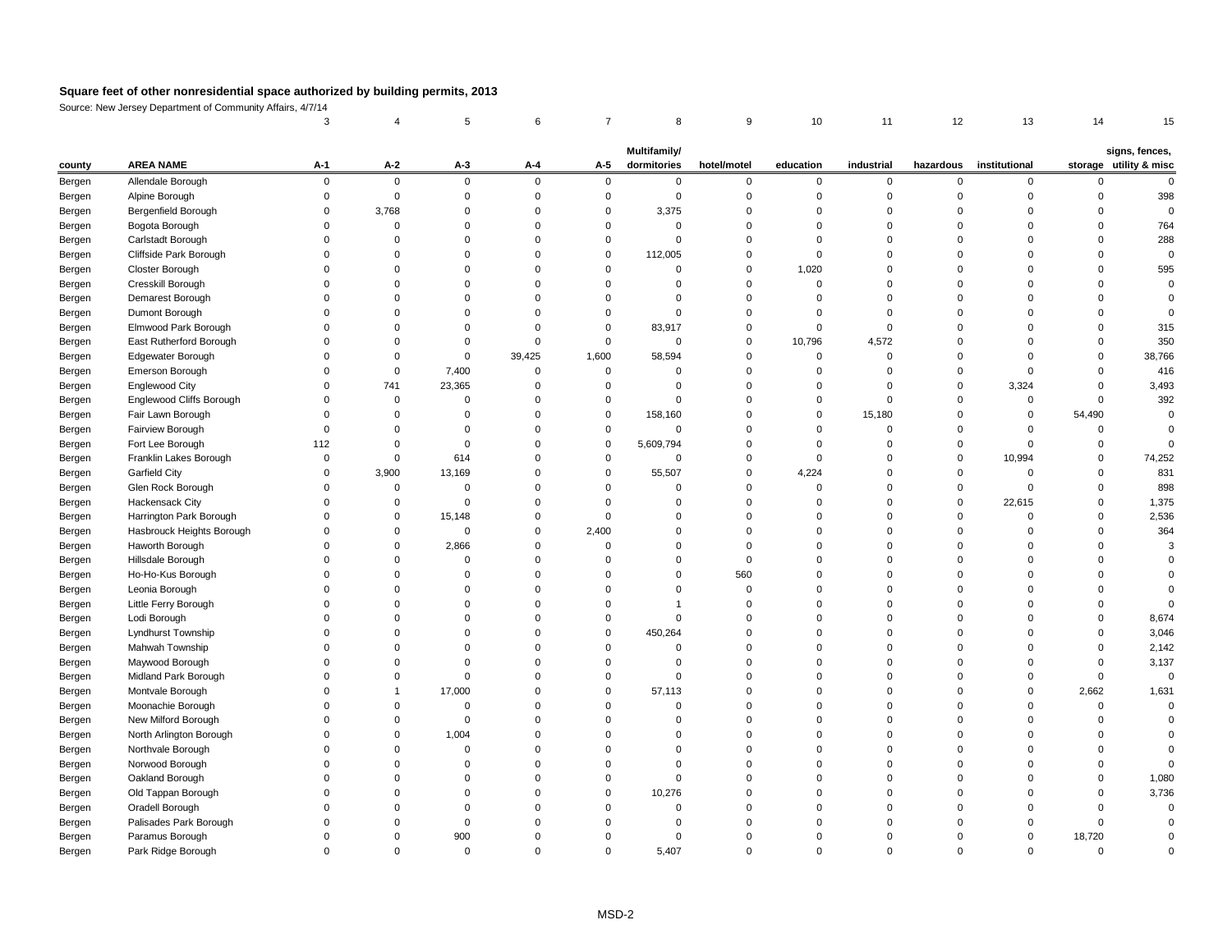Source: New Jersey Department of Community Affairs, 4/7/14

|        |                                 |       |                |                |          |          | <b>Multifamily/</b> |             |           |            |           |               |             | signs, fences,         |
|--------|---------------------------------|-------|----------------|----------------|----------|----------|---------------------|-------------|-----------|------------|-----------|---------------|-------------|------------------------|
| county | <b>AREA NAME</b>                | $A-1$ | $A-2$          | $A-3$          | $A-4$    | $A-5$    | dormitories         | hotel/motel | education | industrial | hazardous | institutional |             | storage utility & misc |
| Bergen | Allendale Borough               |       | $\overline{0}$ | $\mathbf 0$    | $\Omega$ | $\Omega$ | $\mathbf{0}$        | 0           | 0         | $\Omega$   |           | $\Omega$      |             |                        |
| Bergen | Alpine Borough                  |       | $\Omega$       |                |          | $\Omega$ | 0                   |             |           |            |           |               |             | 398                    |
| Bergen | Bergenfield Borough             |       | 3,768          |                |          | $\Omega$ | 3,375               |             |           |            |           | $\Omega$      |             |                        |
| Bergen | Bogota Borough                  |       |                |                |          |          |                     |             |           |            |           |               |             | 764                    |
| Bergen | Carlstadt Borough               |       |                |                |          |          | $\Omega$            |             |           |            |           |               |             | 288                    |
| Bergen | Cliffside Park Borough          |       |                |                |          | $\Omega$ | 112,005             |             |           |            |           |               |             |                        |
| Bergen | Closter Borough                 |       |                |                |          | $\Omega$ | 0                   |             | 1,020     |            |           | $\Omega$      |             | 595                    |
| Bergen | Cresskill Borough               |       |                |                |          |          |                     |             |           |            |           |               |             |                        |
| Bergen | Demarest Borough                |       |                |                |          |          |                     |             |           |            |           |               |             |                        |
| Bergen | Dumont Borough                  |       |                |                |          |          |                     |             |           |            |           |               |             |                        |
| Bergen | Elmwood Park Borough            |       |                |                |          | $\Omega$ | 83,917              |             |           |            |           | $\Omega$      |             | 315                    |
| Bergen | East Rutherford Borough         |       |                |                |          | $\Omega$ | $\Omega$            |             | 10,796    | 4,572      |           |               |             | 350                    |
| Bergen | Edgewater Borough               |       |                |                | 39,425   | 1,600    | 58,594              |             |           |            |           |               |             | 38,766                 |
| Bergen | Emerson Borough                 |       | $\Omega$       | 7,400          |          |          |                     |             |           |            |           | $\Omega$      |             | 416                    |
| Bergen | <b>Englewood City</b>           |       | 741            | 23,365         |          |          |                     |             |           |            |           | 3,324         |             | 3,493                  |
| Bergen | <b>Englewood Cliffs Borough</b> |       | $\Omega$       |                |          |          |                     |             |           |            |           | $\mathbf{0}$  |             | 392                    |
| Bergen | Fair Lawn Borough               |       |                |                |          | $\Omega$ | 158,160             |             | 0         | 15,180     |           | 0             | 54,490      |                        |
| Bergen | Fairview Borough                |       |                |                |          |          | $\Omega$            |             |           |            |           |               |             |                        |
| Bergen | Fort Lee Borough                | 112   |                | 0              |          | 0        | 5,609,794           |             |           |            |           | $\Omega$      |             |                        |
| Bergen | Franklin Lakes Borough          |       | $\Omega$       | 614            |          | $\Omega$ | $\Omega$            |             |           |            |           | 10,994        |             | 74,252                 |
| Bergen | <b>Garfield City</b>            |       | 3,900          | 13,169         |          | $\Omega$ | 55,507              |             | 4,224     |            |           |               |             | 831                    |
| Bergen | Glen Rock Borough               |       |                |                |          |          |                     |             |           |            |           | $\Omega$      |             | 898                    |
| Bergen | Hackensack City                 |       |                | $\Omega$       |          |          |                     |             |           |            |           | 22,615        |             | 1,375                  |
| Bergen | Harrington Park Borough         |       | $\mathbf 0$    | 15,148         |          |          |                     |             |           |            |           | $\Omega$      |             | 2,536                  |
| Bergen | Hasbrouck Heights Borough       |       |                | $\Omega$       |          | 2,400    |                     |             |           |            |           |               |             | 364                    |
| Bergen | Haworth Borough                 |       |                | 2,866          |          |          |                     |             |           |            |           |               |             |                        |
| Bergen | Hillsdale Borough               |       |                | 0              |          |          |                     |             |           |            |           |               |             |                        |
| Bergen | Ho-Ho-Kus Borough               |       |                |                |          |          |                     | 560         |           |            |           |               |             |                        |
| Bergen | Leonia Borough                  |       |                |                |          |          |                     |             |           |            |           |               |             |                        |
| Bergen | Little Ferry Borough            |       |                |                |          |          |                     |             |           |            |           |               |             |                        |
| Bergen | Lodi Borough                    |       |                |                |          |          |                     |             |           |            |           |               |             | 8,674                  |
| Bergen | Lyndhurst Township              |       |                |                |          | $\Omega$ | 450,264             |             |           |            |           |               |             | 3,046                  |
|        | Mahwah Township                 |       |                |                |          |          |                     |             |           |            |           |               |             | 2,142                  |
| Bergen | Maywood Borough                 |       |                |                |          |          |                     |             |           |            |           |               |             | 3,137                  |
| Bergen | Midland Park Borough            |       |                |                |          |          |                     |             |           |            |           |               |             |                        |
| Bergen | Montvale Borough                |       |                |                |          | $\Omega$ |                     |             |           |            |           |               |             |                        |
| Bergen |                                 |       |                | 17,000         |          |          | 57,113              |             |           |            |           | $\Omega$      | 2,662       | 1,631                  |
| Bergen | Moonachie Borough               |       |                |                |          |          |                     |             |           |            |           |               |             |                        |
| Bergen | New Milford Borough             |       |                |                |          |          |                     |             |           |            |           |               |             |                        |
| Bergen | North Arlington Borough         |       |                | 1,004          |          |          |                     |             |           |            |           |               |             |                        |
| Bergen | Northvale Borough               |       |                |                |          |          |                     |             |           |            |           |               |             |                        |
| Bergen | Norwood Borough                 |       |                |                |          |          |                     |             |           |            |           |               |             |                        |
| Bergen | Oakland Borough                 |       |                |                |          |          |                     |             |           |            |           |               |             | 1,080                  |
| Bergen | Old Tappan Borough              |       |                |                |          |          | 10,276              |             |           |            |           |               |             | 3,736                  |
| Bergen | Oradell Borough                 |       |                |                |          |          |                     |             |           |            |           |               |             |                        |
| Bergen | Palisades Park Borough          |       |                |                |          |          |                     |             |           |            |           |               |             |                        |
| Bergen | Paramus Borough                 |       |                | 900            |          |          | 0                   |             |           |            |           | $\Omega$      | 18,720      |                        |
| Bergen | Park Ridge Borough              |       | $\mathbf 0$    | $\overline{0}$ |          | 0        | 5,407               | 0           | 0         | $\Omega$   |           | $\Omega$      | $\mathbf 0$ |                        |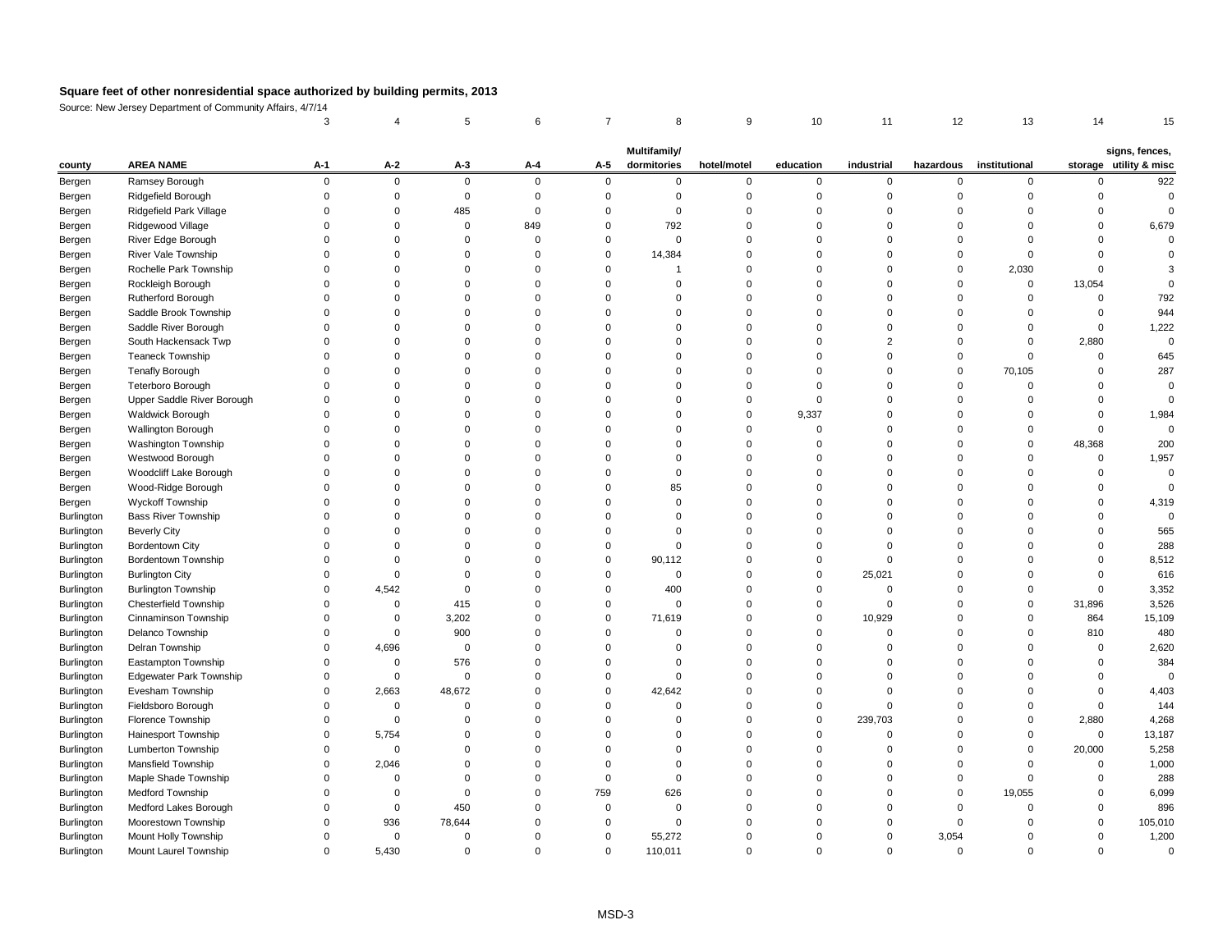Source: New Jersey Department of Community Affairs, 4/7/14

|                  |                                |          |          |                |                |             | Multifamily/ |             |           |                |             |               |          | signs, fences,         |
|------------------|--------------------------------|----------|----------|----------------|----------------|-------------|--------------|-------------|-----------|----------------|-------------|---------------|----------|------------------------|
| county           | <b>AREA NAME</b>               | $A-1$    | $A-2$    | $A-3$          | $A-4$          | $A-5$       | dormitories  | hotel/motel | education | industrial     | hazardous   | institutional |          | storage utility & misc |
| Bergen           | Ramsey Borough                 | $\Omega$ | $\Omega$ | $\overline{0}$ | $\overline{0}$ | $\Omega$    | 0            | $\mathbf 0$ | 0         | $\mathbf 0$    | $\Omega$    | $\Omega$      |          | 922                    |
| Bergen           | Ridgefield Borough             |          |          | 0              |                |             | 0            |             |           |                |             |               |          |                        |
| Bergen           | <b>Ridgefield Park Village</b> |          |          | 485            |                |             | $\Omega$     |             |           |                |             |               |          |                        |
| Bergen           | Ridgewood Village              |          |          | 0              | 849            |             | 792          |             |           |                |             |               |          | 6,679                  |
| Bergen           | River Edge Borough             |          |          |                |                |             | $\Omega$     |             |           |                |             |               |          |                        |
| Bergen           | River Vale Township            |          |          |                |                |             | 14,384       |             |           |                |             |               |          |                        |
| Bergen           | Rochelle Park Township         |          |          |                |                |             |              |             |           |                |             | 2,030         |          |                        |
| Bergen           | Rockleigh Borough              |          |          |                |                |             |              |             |           |                |             |               | 13,054   |                        |
| Bergen           | Rutherford Borough             |          |          |                |                |             |              |             |           |                |             |               |          | 792                    |
| Bergen           | Saddle Brook Township          |          |          |                |                |             |              |             |           |                |             |               |          | 944                    |
| Bergen           | Saddle River Borough           |          |          |                |                |             |              |             |           |                |             |               |          | 1,222                  |
| Bergen           | South Hackensack Twp           |          |          |                |                |             |              |             |           |                |             |               | 2,880    |                        |
| Bergen           | <b>Teaneck Township</b>        |          |          |                |                |             |              |             |           |                |             |               |          | 645                    |
| Bergen           | <b>Tenafly Borough</b>         |          |          |                |                |             |              |             |           |                |             | 70,105        |          | 287                    |
| Bergen           | Teterboro Borough              |          |          |                |                |             |              |             |           |                |             |               |          |                        |
| Bergen           | Upper Saddle River Borough     |          |          |                |                |             |              |             |           |                |             |               |          |                        |
| Bergen           | <b>Waldwick Borough</b>        |          |          |                |                |             |              |             | 9,337     |                |             |               |          | 1,984                  |
| Bergen           | Wallington Borough             |          |          |                |                |             |              |             |           |                |             |               |          |                        |
| Bergen           | Washington Township            |          |          |                |                |             |              |             |           |                |             |               | 48,368   | 200                    |
| Bergen           | Westwood Borough               |          |          |                |                |             |              |             |           |                |             |               |          | 1,957                  |
|                  | Woodcliff Lake Borough         |          |          |                |                |             |              |             |           |                |             |               |          |                        |
| Bergen<br>Bergen | Wood-Ridge Borough             |          |          |                |                |             | 85           |             |           |                |             |               |          |                        |
|                  | <b>Wyckoff Township</b>        |          |          |                |                |             | 0            |             |           |                |             |               |          | 4,319                  |
| Bergen           | <b>Bass River Township</b>     |          |          |                |                |             |              |             |           |                |             |               |          |                        |
| Burlington       |                                |          |          |                |                |             |              |             |           |                |             |               |          | 565                    |
| Burlington       | <b>Beverly City</b>            |          |          |                |                |             |              |             |           |                |             |               |          |                        |
| Burlington       | <b>Bordentown City</b>         |          |          |                |                |             |              |             |           |                |             |               |          | 288                    |
| Burlington       | Bordentown Township            |          |          |                |                |             | 90,112       |             |           |                |             |               |          | 8,512                  |
| Burlington       | <b>Burlington City</b>         |          |          |                |                |             |              |             |           | 25,021         |             |               |          | 616                    |
| Burlington       | <b>Burlington Township</b>     |          | 4,542    |                |                |             | 400          |             |           |                |             |               |          | 3,352                  |
| Burlington       | <b>Chesterfield Township</b>   |          | 0        | 415            |                |             | $\Omega$     |             |           |                |             |               | 31,896   | 3,526                  |
| Burlington       | Cinnaminson Township           |          | 0        | 3,202          |                |             | 71,619       |             |           | 10,929         |             |               | 864      | 15,109                 |
| Burlington       | Delanco Township               |          |          | 900            |                |             |              |             |           |                |             |               | 810      | 480                    |
| Burlington       | Delran Township                |          | 4,696    | 0              |                |             |              |             |           |                |             |               |          | 2,620                  |
| Burlington       | Eastampton Township            |          |          | 576            |                |             |              |             |           |                |             |               |          | 384                    |
| Burlington       | <b>Edgewater Park Township</b> |          |          | $\Omega$       |                |             |              |             |           |                |             |               |          |                        |
| Burlington       | Evesham Township               |          | 2,663    | 48,672         |                |             | 42,642       |             |           |                |             |               |          | 4,403                  |
| Burlington       | Fieldsboro Borough             |          |          |                |                |             |              |             |           |                |             |               |          | 144                    |
| Burlington       | Florence Township              | 0        | $\Omega$ |                |                |             |              |             |           | 239,703        |             |               | 2,880    | 4,268                  |
| Burlington       | Hainesport Township            | $\Omega$ | 5,754    |                |                |             |              |             |           |                |             |               | $\Omega$ | 13,187                 |
| Burlington       | Lumberton Township             |          |          |                |                |             |              |             |           |                |             |               | 20,000   | 5,258                  |
| Burlington       | Mansfield Township             |          | 2,046    |                |                |             |              |             |           |                |             |               |          | 1,000                  |
| Burlington       | Maple Shade Township           |          |          |                |                |             | $\Omega$     |             |           |                |             |               |          | 288                    |
| Burlington       | Medford Township               |          |          |                |                | 759         | 626          |             |           |                |             | 19,055        |          | 6,099                  |
| Burlington       | Medford Lakes Borough          |          |          | 450            |                |             |              |             |           |                |             |               |          | 896                    |
| Burlington       | Moorestown Township            |          | 936      | 78,644         |                |             | $\Omega$     |             |           |                |             |               |          | 105,010                |
| Burlington       | Mount Holly Township           |          | 0        | 0              |                |             | 55,272       |             |           | 0              | 3,054       |               |          | 1,200                  |
| Burlington       | Mount Laurel Township          | 0        | 5,430    | 0              |                | $\mathbf 0$ | 110,011      | 0           |           | $\overline{0}$ | $\mathbf 0$ |               |          | 0                      |
|                  |                                |          |          |                |                |             |              |             |           |                |             |               |          |                        |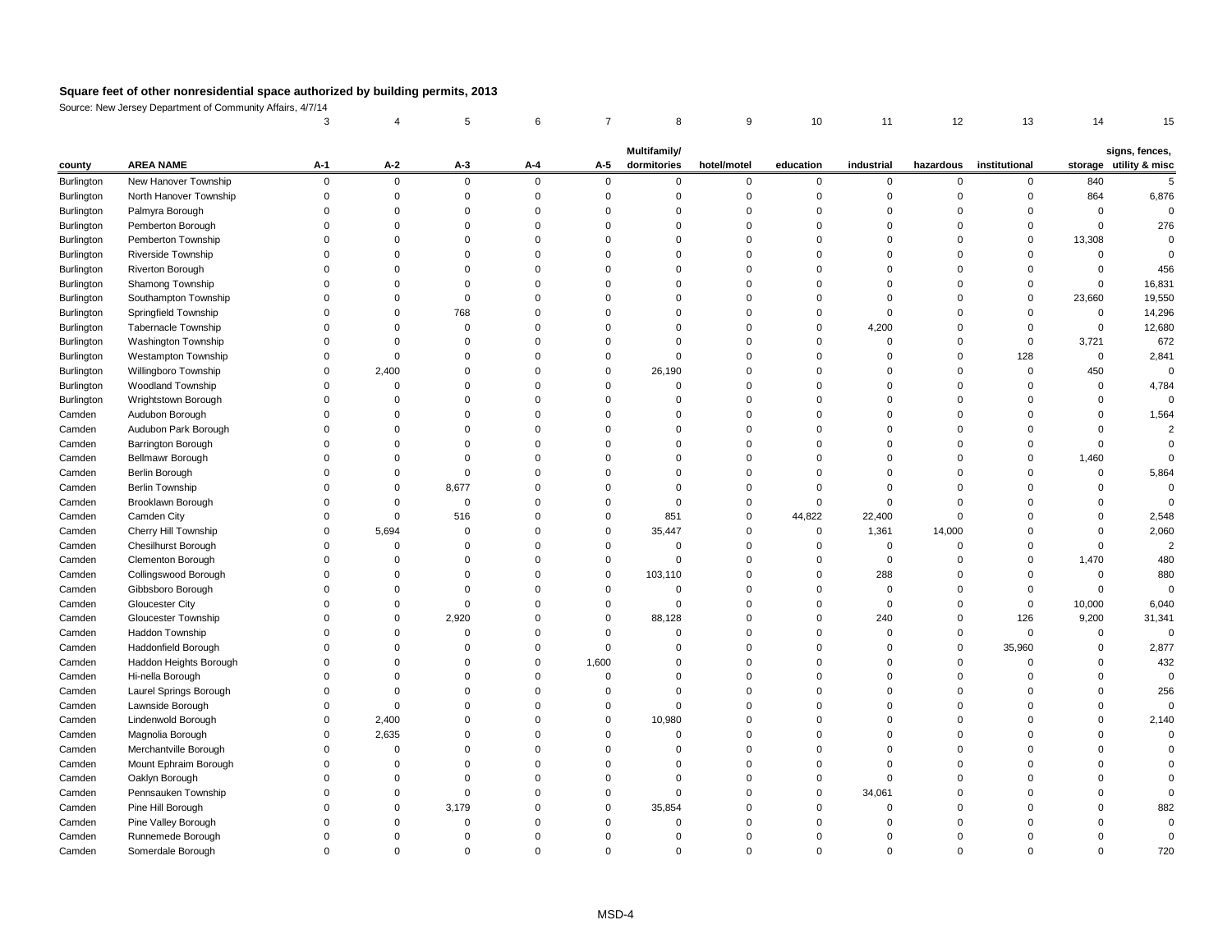Source: New Jersey Department of Community Affairs, 4/7/14

|            |                            |          |              |       |                |                | <b>Multifamily/</b> |             |           |            |           |               |              | signs, fences,         |
|------------|----------------------------|----------|--------------|-------|----------------|----------------|---------------------|-------------|-----------|------------|-----------|---------------|--------------|------------------------|
| county     | <b>AREA NAME</b>           | $A-1$    | $A-2$        | $A-3$ | $A-4$          | $A-5$          | dormitories         | hotel/motel | education | industrial | hazardous | institutional |              | storage utility & misc |
| Burlington | New Hanover Township       | $\Omega$ | $\mathbf 0$  | 0     | $\overline{0}$ | $\mathbf{0}$   | $\Omega$            | $\Omega$    | 0         | $\Omega$   | $\Omega$  | $\Omega$      | 840          |                        |
| Burlington | North Hanover Township     |          | ∩            |       |                |                |                     |             |           |            |           |               | 864          | 6,876                  |
| Burlington | Palmyra Borough            |          |              |       |                |                |                     |             |           |            |           |               | $\Omega$     |                        |
| Burlington | Pemberton Borough          |          |              |       |                |                |                     |             |           |            |           |               | $\Omega$     | 276                    |
| Burlington | Pemberton Township         |          |              |       |                |                |                     |             |           |            |           |               | 13,308       |                        |
| Burlington | Riverside Township         |          |              |       |                |                |                     |             |           |            |           |               |              |                        |
| Burlington | Riverton Borough           |          |              |       |                |                |                     |             |           |            |           |               |              | 456                    |
| Burlington | Shamong Township           |          |              |       |                |                |                     |             |           |            |           |               |              | 16,831                 |
| Burlington | Southampton Township       |          |              |       |                |                |                     |             |           |            |           |               | 23,660       | 19,550                 |
| Burlington | Springfield Township       |          | <sup>0</sup> | 768   |                |                |                     |             |           |            |           |               | ∩            | 14,296                 |
| Burlington | <b>Tabernacle Township</b> |          |              |       |                |                |                     |             |           | 4,200      |           |               |              | 12,680                 |
| Burlington | Washington Township        |          |              |       |                |                |                     |             |           |            |           |               | 3,721        | 672                    |
| Burlington | Westampton Township        |          |              |       |                |                |                     |             |           |            |           | 128           | $\mathbf{0}$ | 2,841                  |
| Burlington | Willingboro Township       |          | 2,400        |       |                | 0              | 26,190              |             |           |            |           |               | 450          |                        |
| Burlington | Woodland Township          |          |              |       |                |                |                     |             |           |            |           |               | $\Omega$     | 4,784                  |
| Burlington | Wrightstown Borough        |          |              |       |                |                |                     |             |           |            |           |               |              |                        |
| Camden     | Audubon Borough            |          |              |       |                |                |                     |             |           |            |           |               |              | 1,564                  |
| Camden     | Audubon Park Borough       |          |              |       |                |                |                     |             |           |            |           |               |              |                        |
| Camden     | Barrington Borough         |          |              |       |                |                |                     |             |           |            |           |               |              |                        |
| Camden     | Bellmawr Borough           |          |              |       |                |                |                     |             |           |            |           |               | 1,460        |                        |
| Camden     | <b>Berlin Borough</b>      |          |              |       |                |                |                     |             |           |            |           |               |              | 5,864                  |
| Camden     | <b>Berlin Township</b>     |          |              | 8,677 |                |                |                     |             |           |            |           |               |              |                        |
| Camden     | Brooklawn Borough          |          |              |       |                |                |                     |             |           |            |           |               |              |                        |
| Camden     | Camden City                |          |              | 516   |                |                | 851                 |             | 44,822    | 22,400     |           |               |              | 2,548                  |
| Camden     | Cherry Hill Township       |          | 5,694        |       |                |                | 35,447              |             |           | 1,361      | 14,000    |               |              | 2,060                  |
| Camden     | Chesilhurst Borough        |          |              |       |                |                |                     |             |           |            |           |               |              |                        |
| Camden     | Clementon Borough          |          | 0            |       |                |                |                     |             |           |            |           |               | 1,470        | 480                    |
| Camden     | Collingswood Borough       |          |              |       |                | $\overline{0}$ | 103,110             |             |           | 288        |           |               |              | 880                    |
| Camden     | Gibbsboro Borough          |          |              |       |                |                |                     |             |           | $\Omega$   |           |               |              |                        |
| Camden     | <b>Gloucester City</b>     |          |              |       |                |                |                     |             |           |            |           |               | 10,000       | 6,040                  |
| Camden     | <b>Gloucester Township</b> |          | 0            | 2,920 |                | $\Omega$       | 88,128              |             |           | 240        |           | 126           | 9,200        | 31,341                 |
| Camden     | Haddon Township            |          |              |       |                |                |                     |             |           |            |           |               |              |                        |
| Camden     | Haddonfield Borough        |          |              |       |                |                |                     |             |           |            |           | 35,960        |              | 2,877                  |
| Camden     | Haddon Heights Borough     |          |              |       |                | 1,600          |                     |             |           |            |           |               |              | 432                    |
| Camden     | Hi-nella Borough           |          |              |       |                |                |                     |             |           |            |           |               |              |                        |
| Camden     | Laurel Springs Borough     |          |              |       |                |                |                     |             |           |            |           |               |              | 256                    |
| Camden     | Lawnside Borough           |          |              |       |                |                |                     |             |           |            |           |               |              | 0                      |
| Camden     | Lindenwold Borough         |          | 2,400        |       |                | $\Omega$       | 10,980              |             |           |            |           |               |              | 2,140                  |
| Camden     | Magnolia Borough           |          | 2,635        |       |                |                |                     |             |           |            |           |               |              |                        |
| Camden     | Merchantville Borough      |          |              |       |                |                |                     |             |           |            |           |               |              |                        |
| Camden     | Mount Ephraim Borough      |          |              |       |                |                |                     |             |           |            |           |               |              |                        |
|            |                            |          |              |       |                |                |                     |             |           |            |           |               |              |                        |
| Camden     | Oaklyn Borough             |          |              |       |                |                |                     |             |           |            |           |               |              |                        |
| Camden     | Pennsauken Township        |          | ∩            |       |                |                |                     |             |           | 34,061     |           |               |              |                        |
| Camden     | Pine Hill Borough          |          |              | 3,179 |                |                | 35,854              |             |           |            |           |               |              | 882                    |
| Camden     | Pine Valley Borough        |          |              |       |                |                |                     |             |           |            |           |               |              |                        |
| Camden     | Runnemede Borough          |          |              |       |                |                |                     |             |           |            |           |               |              |                        |
| Camden     | Somerdale Borough          |          | 0            |       | 0              |                |                     | 0           |           | 0          | 0         |               |              | 720                    |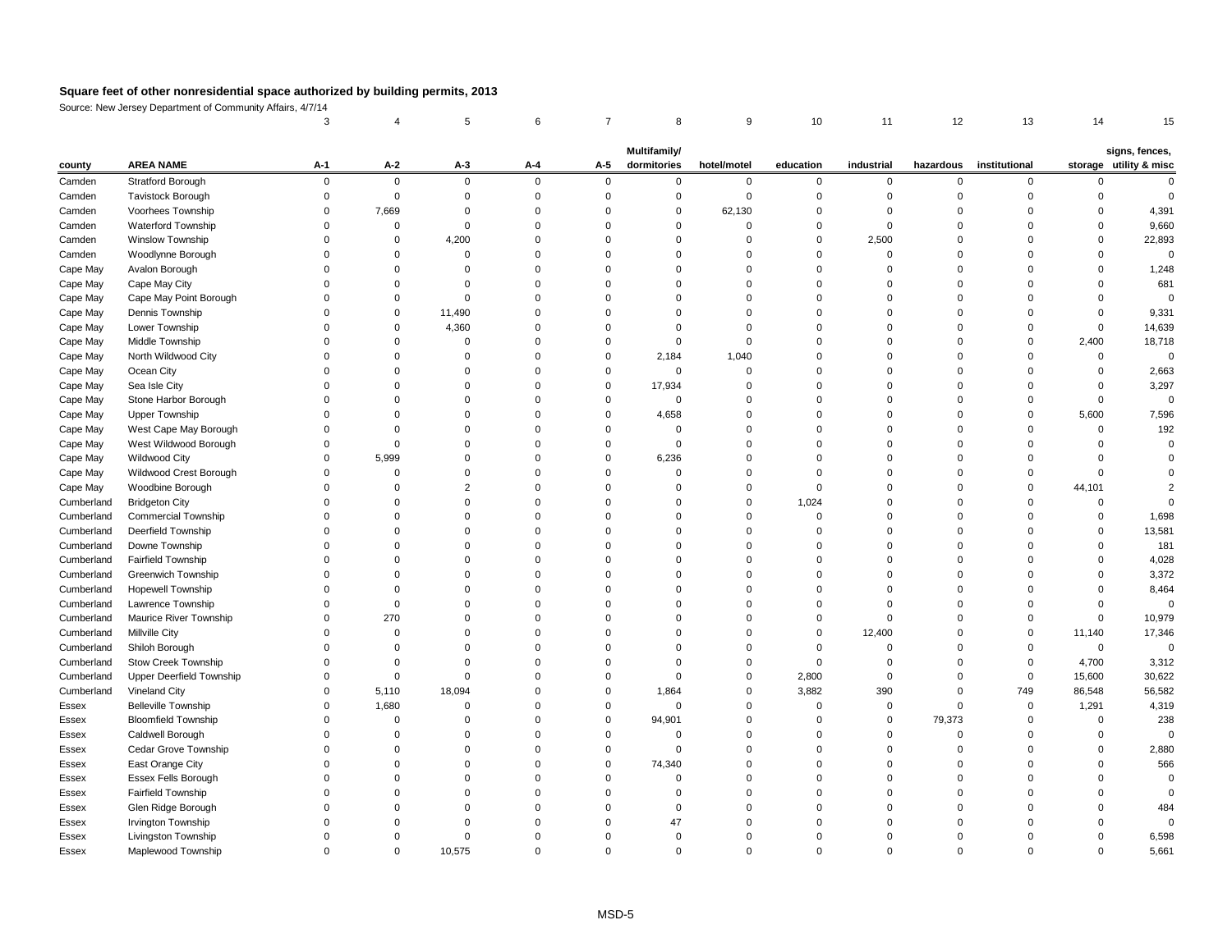Source: New Jersey Department of Community Affairs, 4/7/14

| county       | <b>AREA NAME</b>                | $A-1$ | $A-2$       | $A-3$       | $A - 4$  | $A-5$    | <b>Multifamily/</b><br>dormitories | hotel/motel | education | industrial | hazardous | institutional |              | signs, fences,<br>storage utility & misc |
|--------------|---------------------------------|-------|-------------|-------------|----------|----------|------------------------------------|-------------|-----------|------------|-----------|---------------|--------------|------------------------------------------|
| Camden       | <b>Stratford Borough</b>        |       | $\mathbf 0$ | $\mathbf 0$ | $\Omega$ | $\Omega$ |                                    | $\Omega$    | 0         | $\Omega$   | $\Omega$  | $\Omega$      |              |                                          |
| Camden       | <b>Tavistock Borough</b>        |       |             |             |          |          |                                    |             |           |            |           |               |              |                                          |
| Camden       | Voorhees Township               |       | 7,669       |             |          |          |                                    | 62,130      |           |            |           |               |              | 4,391                                    |
| Camden       | Waterford Township              |       |             |             |          |          |                                    |             |           |            |           |               |              | 9,660                                    |
| Camden       | Winslow Township                |       | 0           | 4,200       |          |          |                                    |             |           | 2,500      |           |               |              | 22,893                                   |
| Camden       | Woodlynne Borough               |       |             | 0           |          |          |                                    |             |           |            |           |               |              |                                          |
| Cape May     | Avalon Borough                  |       |             |             |          |          |                                    |             |           |            |           |               |              | 1,248                                    |
| Cape May     | Cape May City                   |       |             |             |          |          |                                    |             |           |            |           |               |              | 681                                      |
| Cape May     | Cape May Point Borough          |       |             | ∩           |          |          |                                    |             |           |            |           |               |              |                                          |
| Cape May     | Dennis Township                 |       | 0           | 11,490      |          |          |                                    |             |           |            |           |               |              | 9,331                                    |
| Cape May     | Lower Township                  |       | $\Omega$    | 4,360       |          |          |                                    |             |           |            |           |               | <sup>0</sup> | 14,639                                   |
| Cape May     | Middle Township                 |       |             |             |          |          |                                    |             |           |            |           |               | 2,400        | 18,718                                   |
| Cape May     | North Wildwood City             |       |             |             |          |          | 2,184                              | 1,040       |           |            |           |               |              |                                          |
| Cape May     | Ocean City                      |       |             |             |          |          |                                    |             |           |            |           |               |              | 2,663                                    |
| Cape May     | Sea Isle City                   |       |             |             |          | $\Omega$ | 17,934                             |             |           |            |           |               |              | 3,297                                    |
| Cape May     | Stone Harbor Borough            |       |             |             |          |          |                                    |             |           |            |           |               |              |                                          |
| Cape May     | <b>Upper Township</b>           |       |             |             |          |          | 4,658                              |             |           |            |           |               | 5,600        | 7,596                                    |
| Cape May     | West Cape May Borough           |       |             |             |          |          |                                    |             |           |            |           |               | <sup>0</sup> | 192                                      |
| Cape May     | West Wildwood Borough           |       |             |             |          |          |                                    |             |           |            |           |               |              |                                          |
| Cape May     | <b>Wildwood City</b>            |       | 5,999       |             |          |          | 6,236                              |             |           |            |           |               |              |                                          |
| Cape May     | Wildwood Crest Borough          |       |             |             |          |          |                                    |             |           |            |           |               |              |                                          |
| Cape May     | Woodbine Borough                |       |             |             |          |          |                                    |             |           |            |           |               | 44,101       |                                          |
| Cumberland   | <b>Bridgeton City</b>           |       |             |             |          |          |                                    |             | 1,024     |            |           |               |              |                                          |
| Cumberland   | <b>Commercial Township</b>      |       |             |             |          |          |                                    |             |           |            |           |               |              | 1,698                                    |
| Cumberland   | Deerfield Township              |       |             |             |          |          |                                    |             |           |            |           |               |              | 13,581                                   |
| Cumberland   | Downe Township                  |       |             |             |          |          |                                    |             |           |            |           |               |              | 181                                      |
| Cumberland   | <b>Fairfield Township</b>       |       |             |             |          |          |                                    |             |           |            |           |               |              | 4,028                                    |
| Cumberland   | <b>Greenwich Township</b>       |       |             |             |          |          |                                    |             |           |            |           |               |              | 3,372                                    |
| Cumberland   | <b>Hopewell Township</b>        |       |             |             |          |          |                                    |             |           |            |           |               |              | 8,464                                    |
| Cumberland   | Lawrence Township               |       |             |             |          |          |                                    |             |           |            |           |               |              |                                          |
| Cumberland   | Maurice River Township          |       | 270         |             |          |          |                                    |             |           |            |           |               |              | 10,979                                   |
| Cumberland   | <b>Millville City</b>           |       |             |             |          |          |                                    |             | 0         | 12,400     |           | $\Omega$      | 11,140       | 17,346                                   |
| Cumberland   | Shiloh Borough                  |       |             |             |          |          |                                    |             |           |            |           |               | $\mathbf 0$  |                                          |
| Cumberland   | <b>Stow Creek Township</b>      |       |             |             |          |          |                                    |             |           |            |           |               | 4,700        | 3,312                                    |
| Cumberland   | <b>Upper Deerfield Township</b> |       |             |             |          |          |                                    |             | 2,800     |            |           |               | 15,600       | 30,622                                   |
| Cumberland   | Vineland City                   |       | 5,110       | 18,094      |          |          | 1,864                              |             | 3,882     | 390        |           | 749           | 86,548       | 56,582                                   |
| Essex        | <b>Belleville Township</b>      |       | 1,680       |             |          |          |                                    |             |           |            |           |               | 1,291        | 4,319                                    |
| <b>Essex</b> | <b>Bloomfield Township</b>      |       |             |             |          | $\Omega$ | 94,901                             |             |           | $\Omega$   | 79,373    |               |              | 238                                      |
| Essex        | Caldwell Borough                |       |             |             |          |          |                                    |             |           |            |           |               |              |                                          |
| <b>Essex</b> | Cedar Grove Township            |       |             |             |          |          |                                    |             |           |            |           |               |              | 2,880                                    |
| Essex        | East Orange City                |       |             |             |          | - 0      | 74,340                             |             |           |            |           |               |              | 566                                      |
| Essex        | <b>Essex Fells Borough</b>      |       |             |             |          |          |                                    |             |           |            |           |               |              |                                          |
| <b>Essex</b> | <b>Fairfield Township</b>       |       |             |             |          |          |                                    |             |           |            |           |               |              |                                          |
| Essex        | Glen Ridge Borough              |       |             |             |          |          |                                    |             |           |            |           |               |              | 484                                      |
| <b>Essex</b> | Irvington Township              |       |             |             |          |          |                                    |             |           |            |           |               |              |                                          |
| Essex        | Livingston Township             |       |             |             |          |          |                                    |             |           |            |           |               |              | 6,598                                    |
| Essex        | Maplewood Township              |       | 0           | 10,575      | 0        | $\Omega$ |                                    | 0           |           | 0          | 0         |               | 0            | 5,661                                    |
|              |                                 |       |             |             |          |          |                                    |             |           |            |           |               |              |                                          |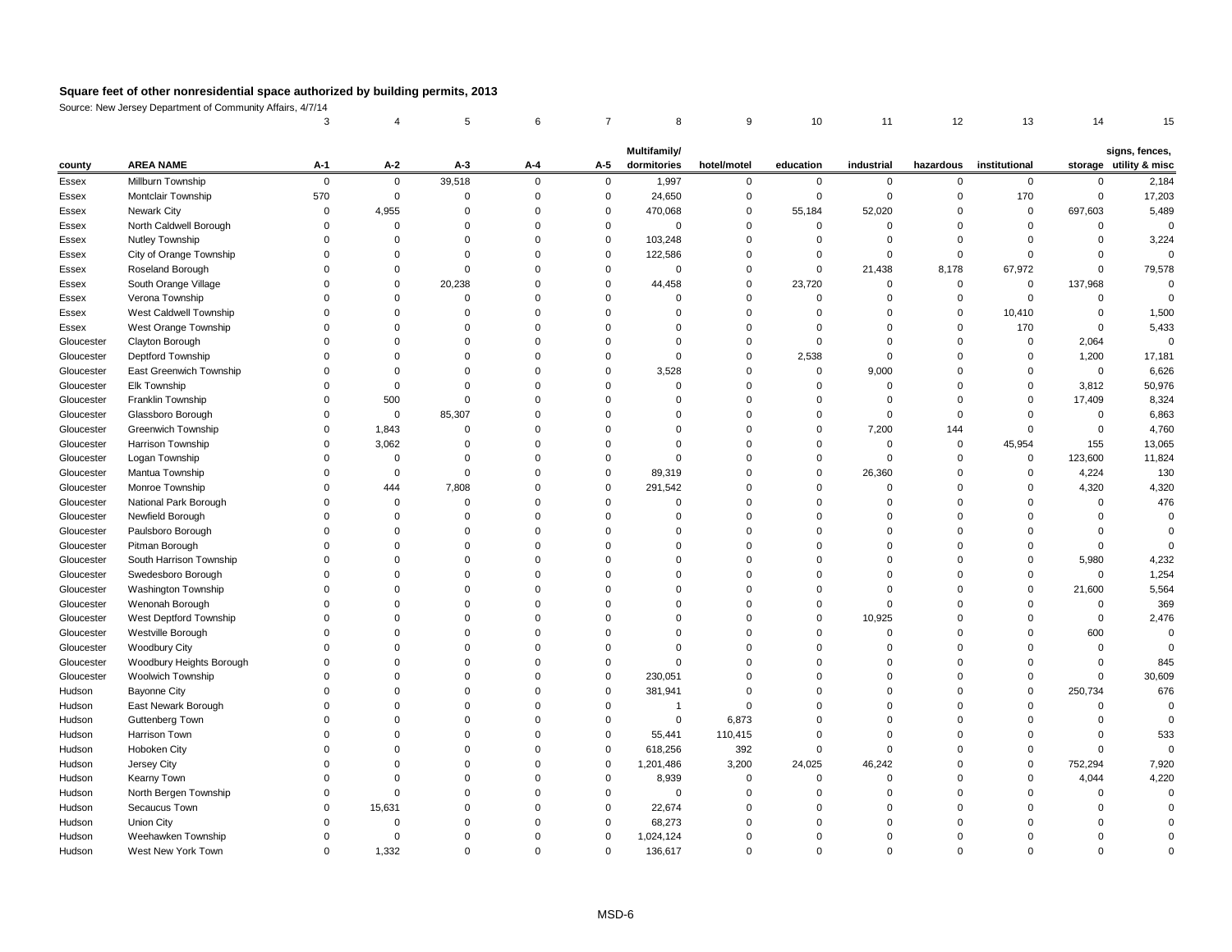Source: New Jersey Department of Community Affairs, 4/7/14

| county       | <b>AREA NAME</b>         | $A-1$    | $A-2$          | $A-3$  | $A - 4$  | $A-5$       | Multifamily/<br>dormitories | hotel/motel    | education    | industrial | hazardous | institutional |         | signs, fences,<br>storage utility & misc |
|--------------|--------------------------|----------|----------------|--------|----------|-------------|-----------------------------|----------------|--------------|------------|-----------|---------------|---------|------------------------------------------|
| Essex        | Millburn Township        | $\Omega$ | $\overline{0}$ | 39,518 | $\Omega$ | $\Omega$    | 1,997                       | $\Omega$       |              |            |           | $\Omega$      |         | 2,184                                    |
| <b>Essex</b> | Montclair Township       | 570      | $\Omega$       |        |          |             | 24,650                      |                |              |            |           | 170           |         | 17,203                                   |
| Essex        | <b>Newark City</b>       |          | 4,955          |        |          | $\Omega$    | 470,068                     |                | 55,184       | 52,020     |           | $\Omega$      | 697,603 | 5,489                                    |
| Essex        | North Caldwell Borough   |          |                |        |          |             |                             |                | 0            |            |           |               |         |                                          |
| Essex        | Nutley Township          |          |                |        |          | $\Omega$    | 103,248                     |                |              |            |           |               |         | 3,224                                    |
| Essex        | City of Orange Township  |          |                |        |          | $\Omega$    | 122,586                     |                |              |            |           |               |         |                                          |
| Essex        | Roseland Borough         |          |                |        |          |             |                             |                | 0            | 21,438     | 8,178     | 67,972        |         | 79,578                                   |
| Essex        | South Orange Village     |          | $\Omega$       | 20,238 |          |             | 44,458                      |                | 23,720       |            |           | 0             | 137,968 |                                          |
| <b>Essex</b> | Verona Township          |          |                |        |          |             |                             |                |              |            |           |               |         |                                          |
| <b>Essex</b> | West Caldwell Township   |          |                |        |          |             |                             |                |              |            |           | 10,410        |         | 1,500                                    |
| Essex        | West Orange Township     |          |                |        |          |             |                             |                |              |            |           | 170           |         | 5,433                                    |
| Gloucester   | Clayton Borough          |          |                |        |          |             |                             |                |              |            |           |               | 2,064   |                                          |
| Gloucester   | Deptford Township        |          |                |        |          |             |                             |                | 2,538        |            |           |               | 1,200   | 17,181                                   |
| Gloucester   | East Greenwich Township  |          |                |        |          |             | 3,528                       |                | $\mathbf{0}$ | 9,000      |           |               | 0       | 6,626                                    |
| Gloucester   | Elk Township             |          |                |        |          |             |                             |                |              |            |           |               | 3,812   | 50,976                                   |
| Gloucester   | Franklin Township        |          | 500            |        |          |             |                             |                |              |            |           |               | 17,409  | 8,324                                    |
| Gloucester   | Glassboro Borough        |          | $\Omega$       | 85,307 |          |             |                             |                |              |            |           |               |         | 6,863                                    |
| Gloucester   | Greenwich Township       |          | 1,843          | 0      |          |             |                             |                | 0            | 7,200      | 144       |               |         | 4,760                                    |
| Gloucester   | Harrison Township        |          | 3,062          |        |          |             |                             |                |              |            |           | 45,954        | 155     | 13,065                                   |
| Gloucester   | Logan Township           |          | $\Omega$       |        |          |             |                             |                | 0            |            |           | $\mathbf{0}$  | 123,600 | 11,824                                   |
| Gloucester   | Mantua Township          |          |                |        |          |             | 89,319                      |                | 0            | 26,360     |           |               | 4,224   | 130                                      |
| Gloucester   | Monroe Township          |          | 444            | 7,808  |          | $\Omega$    | 291,542                     |                |              |            |           |               | 4,320   | 4,320                                    |
| Gloucester   | National Park Borough    |          |                |        |          |             |                             |                |              |            |           |               |         | 476                                      |
| Gloucester   | Newfield Borough         |          |                |        |          |             |                             |                |              |            |           |               |         |                                          |
| Gloucester   | Paulsboro Borough        |          |                |        |          |             |                             |                |              |            |           |               |         |                                          |
| Gloucester   | Pitman Borough           |          |                |        |          |             |                             |                |              |            |           |               |         |                                          |
| Gloucester   | South Harrison Township  |          |                |        |          |             |                             |                |              |            |           |               | 5,980   | 4,232                                    |
| Gloucester   | Swedesboro Borough       |          |                |        |          |             |                             |                |              |            |           |               |         | 1,254                                    |
| Gloucester   | Washington Township      |          |                |        |          |             |                             |                |              |            |           | 0             | 21,600  | 5,564                                    |
| Gloucester   | Wenonah Borough          |          |                |        |          |             |                             |                |              |            |           |               |         | 369                                      |
| Gloucester   | West Deptford Township   |          |                |        |          |             |                             |                | 0            | 10,925     |           |               |         | 2,476                                    |
| Gloucester   | Westville Borough        |          |                |        |          |             |                             |                |              |            |           |               | 600     |                                          |
| Gloucester   | Woodbury City            |          |                |        |          |             |                             |                |              |            |           |               |         |                                          |
| Gloucester   | Woodbury Heights Borough |          |                |        |          |             |                             |                |              |            |           |               |         | 845                                      |
| Gloucester   | Woolwich Township        |          |                |        |          | $\Omega$    | 230,051                     |                |              |            |           |               |         | 30,609                                   |
| Hudson       | <b>Bayonne City</b>      |          |                |        |          |             | 381,941                     |                |              |            |           |               | 250,734 | 676                                      |
| Hudson       | East Newark Borough      |          |                |        |          |             |                             |                |              |            |           |               |         |                                          |
| Hudson       | Guttenberg Town          |          |                |        |          |             | $\Omega$                    | 6,873          |              |            |           |               |         |                                          |
| Hudson       | Harrison Town            |          |                |        |          | $\Omega$    | 55,441                      | 110,415        |              |            |           |               |         | 533                                      |
| Hudson       | Hoboken City             |          |                |        |          |             | 618,256                     | 392            |              |            |           |               |         |                                          |
| Hudson       | Jersey City              |          |                |        |          | $\Omega$    | 1,201,486                   | 3,200          | 24,025       | 46,242     |           | $\Omega$      | 752,294 | 7,920                                    |
| Hudson       | Kearny Town              |          |                |        |          |             | 8,939                       |                |              |            |           |               | 4,044   | 4,220                                    |
| Hudson       | North Bergen Township    |          |                |        |          |             |                             |                |              |            |           |               |         |                                          |
| Hudson       | Secaucus Town            |          | 15,631         |        |          | $\Omega$    | 22,674                      |                |              |            |           |               |         |                                          |
| Hudson       | <b>Union City</b>        |          |                |        |          | $\Omega$    | 68,273                      |                |              |            |           |               |         |                                          |
| Hudson       | Weehawken Township       |          | $\Omega$       |        |          | $\Omega$    | 1,024,124                   |                |              |            |           |               |         |                                          |
| Hudson       | West New York Town       | $\Omega$ | 1,332          | 0      | 0        | $\mathbf 0$ | 136,617                     | $\overline{0}$ | 0            | 0          | 0         |               |         |                                          |
|              |                          |          |                |        |          |             |                             |                |              |            |           |               |         |                                          |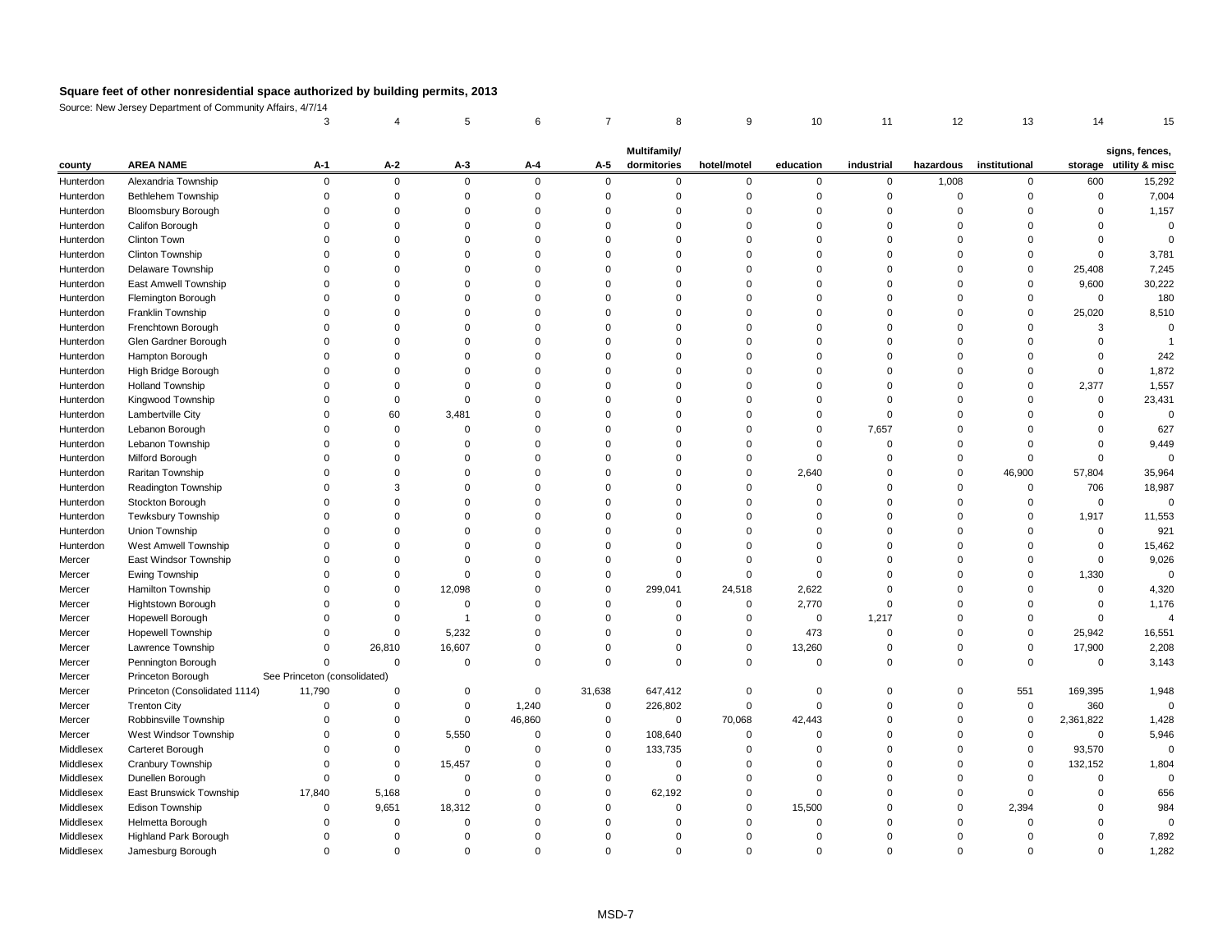Source: New Jersey Department of Community Affairs, 4/7/14

|           |                               |                              |             |          |             |              | <b>Multifamily/</b> |             |              |            |           |               |                | signs, fences,         |
|-----------|-------------------------------|------------------------------|-------------|----------|-------------|--------------|---------------------|-------------|--------------|------------|-----------|---------------|----------------|------------------------|
| county    | <b>AREA NAME</b>              | $A-1$                        | $A-2$       | $A-3$    | $A-4$       | $A-5$        | dormitories         | hotel/motel | education    | industrial | hazardous | institutional |                | storage utility & misc |
| Hunterdon | Alexandria Township           | $\Omega$                     | $\mathbf 0$ | $\Omega$ | 0           | $\mathbf{0}$ | $\Omega$            | $\Omega$    | 0            | $\Omega$   | 1,008     | $\mathbf{0}$  | 600            | 15,292                 |
| Hunterdon | <b>Bethlehem Township</b>     |                              |             |          |             |              |                     |             |              |            |           |               |                | 7,004                  |
| Hunterdon | <b>Bloomsbury Borough</b>     |                              |             |          |             |              |                     |             |              |            |           |               |                | 1,157                  |
| Hunterdon | Califon Borough               |                              |             |          |             |              |                     |             |              |            |           |               |                |                        |
| Hunterdon | Clinton Town                  |                              |             |          |             |              |                     |             |              |            |           |               |                |                        |
| Hunterdon | Clinton Township              |                              |             |          |             |              |                     |             |              |            |           |               |                | 3,781                  |
| Hunterdon | Delaware Township             |                              |             |          |             |              |                     |             |              |            |           |               | 25,408         | 7,245                  |
| Hunterdon | East Amwell Township          |                              |             |          |             |              |                     |             |              |            |           |               | 9,600          | 30,222                 |
| Hunterdon | Flemington Borough            |                              |             |          |             |              |                     |             |              |            |           |               | $\mathbf 0$    | 180                    |
| Hunterdon | Franklin Township             |                              |             |          |             |              |                     |             |              |            |           |               | 25,020         | 8,510                  |
| Hunterdon | Frenchtown Borough            |                              |             |          |             |              |                     |             |              |            |           |               |                |                        |
| Hunterdon | Glen Gardner Borough          |                              |             |          |             |              |                     |             |              |            |           |               |                |                        |
| Hunterdon | Hampton Borough               |                              |             |          |             |              |                     |             |              |            |           |               |                | 242                    |
| Hunterdon | High Bridge Borough           |                              |             |          |             |              |                     |             |              |            |           |               |                | 1,872                  |
| Hunterdon | <b>Holland Township</b>       |                              |             |          |             |              |                     |             |              |            |           |               | 2,377          | 1,557                  |
| Hunterdon | Kingwood Township             |                              |             |          |             |              |                     |             |              |            |           |               |                | 23,431                 |
| Hunterdon | Lambertville City             |                              | 60          | 3,481    |             |              |                     |             |              |            |           |               |                |                        |
| Hunterdon | Lebanon Borough               |                              |             |          |             |              |                     |             |              | 7,657      |           |               |                | 627                    |
| Hunterdon | Lebanon Township              |                              |             |          |             |              |                     |             |              |            |           |               |                | 9,449                  |
| Hunterdon | Milford Borough               |                              |             |          |             |              |                     |             |              |            |           |               |                |                        |
| Hunterdon | Raritan Township              |                              |             |          |             |              |                     |             | 2,640        |            |           | 46,900        | 57,804         | 35,964                 |
| Hunterdon | Readington Township           |                              |             |          |             |              |                     |             |              |            |           |               | 706            | 18,987                 |
| Hunterdon | Stockton Borough              |                              |             |          |             |              |                     |             |              |            |           |               | $\Omega$       | 0                      |
| Hunterdon | Tewksbury Township            |                              |             |          |             |              |                     |             |              |            |           |               | 1,917          | 11,553                 |
| Hunterdon | Union Township                |                              |             |          |             |              |                     |             |              |            |           |               |                | 921                    |
| Hunterdon | West Amwell Township          |                              |             |          |             |              |                     |             |              |            |           |               |                | 15,462                 |
| Mercer    | East Windsor Township         |                              |             |          |             |              |                     |             |              |            |           |               |                | 9,026                  |
| Mercer    | Ewing Township                |                              |             | O        |             |              | $\Omega$            | $\Omega$    | 0            |            |           |               | 1,330          |                        |
| Mercer    | Hamilton Township             |                              | $\Omega$    | 12,098   |             | $\Omega$     | 299,041             | 24,518      | 2,622        |            |           |               | $\mathbf{0}$   | 4,320                  |
| Mercer    | Hightstown Borough            |                              | ∩           |          |             |              |                     | $\Omega$    | 2,770        |            |           |               |                | 1,176                  |
| Mercer    | Hopewell Borough              |                              | $\Omega$    |          |             |              |                     |             | $\mathbf{0}$ | 1,217      |           |               |                |                        |
| Mercer    | <b>Hopewell Township</b>      | 0                            | $\Omega$    | 5,232    |             |              |                     | $\Omega$    | 473          |            |           |               | 25,942         | 16,551                 |
| Mercer    | Lawrence Township             |                              | 26,810      | 16,607   |             |              |                     | 0           | 13,260       |            |           |               | 17,900         | 2,208                  |
| Mercer    | Pennington Borough            |                              | $\Omega$    |          | $\mathbf 0$ |              |                     | $\mathbf 0$ | $\mathbf{0}$ | $\Omega$   | $\Omega$  |               | $\overline{0}$ | 3,143                  |
| Mercer    | Princeton Borough             | See Princeton (consolidated) |             |          |             |              |                     |             |              |            |           |               |                |                        |
| Mercer    | Princeton (Consolidated 1114) | 11,790                       | $\Omega$    | 0        | $\mathbf 0$ | 31,638       | 647,412             | $\Omega$    | 0            |            | $\Omega$  | 551           | 169,395        | 1,948                  |
| Mercer    | <b>Trenton City</b>           |                              |             |          | 1,240       | 0            | 226,802             | $\Omega$    |              |            |           | $\mathbf{0}$  | 360            | 0                      |
| Mercer    | Robbinsville Township         |                              | 0           |          | 46,860      | 0            | 0                   | 70,068      | 42,443       |            |           | $\Omega$      | 2,361,822      | 1,428                  |
| Mercer    | West Windsor Township         |                              | 0           | 5,550    |             | 0            | 108,640             | $\Omega$    |              |            |           |               | $\mathbf 0$    | 5,946                  |
| Middlesex | Carteret Borough              |                              | $\Omega$    |          |             | $\mathbf{0}$ | 133,735             |             |              |            |           |               | 93,570         | 0                      |
| Middlesex | Cranbury Township             |                              | 0           | 15,457   |             |              |                     |             |              |            |           |               | 132,152        | 1,804                  |
| Middlesex | Dunellen Borough              | $\Omega$                     | $\Omega$    |          |             |              |                     |             |              |            |           |               |                |                        |
| Middlesex | East Brunswick Township       | 17,840                       | 5,168       |          |             |              | 62,192              |             |              |            |           |               |                | 656                    |
| Middlesex | Edison Township               | $\Omega$                     | 9,651       | 18,312   |             |              |                     | $\Omega$    | 15,500       |            |           | 2,394         |                | 984                    |
| Middlesex | Helmetta Borough              |                              | 0           |          |             |              |                     |             |              |            |           |               |                | 0                      |
| Middlesex | <b>Highland Park Borough</b>  |                              | $\Omega$    |          |             |              |                     |             |              |            |           |               |                | 7,892                  |
| Middlesex | Jamesburg Borough             | 0                            | $\mathbf 0$ |          | 0           |              |                     | $\Omega$    | 0            |            |           |               |                | 1,282                  |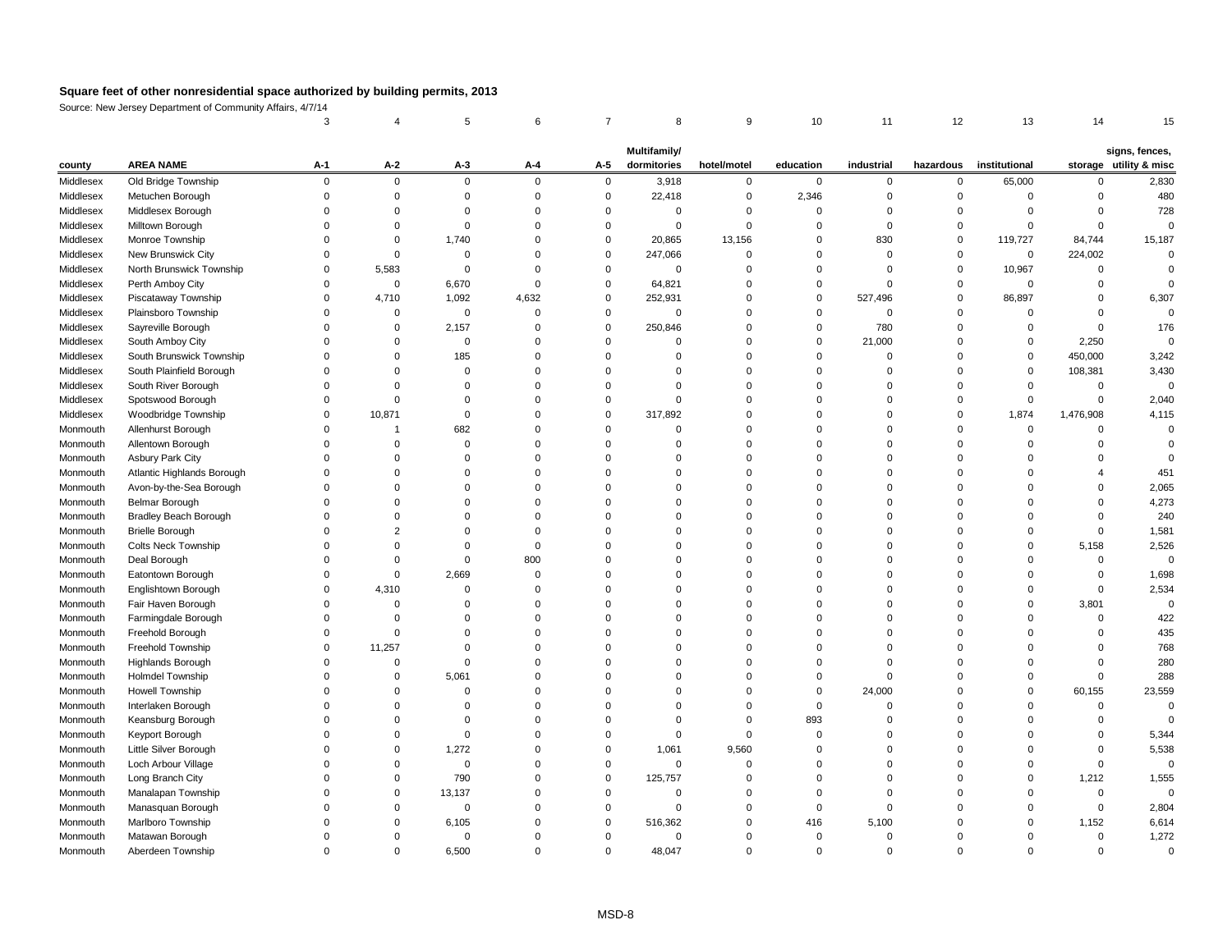Source: New Jersey Department of Community Affairs, 4/7/14

|           |                              |          |             |              |          |          | Multifamily/ |             |           |            |           |               |                | signs, fences,         |
|-----------|------------------------------|----------|-------------|--------------|----------|----------|--------------|-------------|-----------|------------|-----------|---------------|----------------|------------------------|
| county    | <b>AREA NAME</b>             | $A-1$    | $A-2$       | $A-3$        | $A-4$    | $A-5$    | dormitories  | hotel/motel | education | industrial | hazardous | institutional |                | storage utility & misc |
| Middlesex | Old Bridge Township          | $\Omega$ | $\Omega$    | $\mathbf 0$  | $\Omega$ | 0        | 3,918        | 0           | $\Omega$  |            | $\Omega$  | 65,000        | $\Omega$       | 2,830                  |
| Middlesex | Metuchen Borough             |          |             | $\Omega$     |          | 0        | 22,418       |             | 2,346     |            |           |               |                | 480                    |
| Middlesex | Middlesex Borough            |          |             | ∩            |          |          |              |             | 0         |            |           |               |                | 728                    |
| Middlesex | Milltown Borough             |          |             |              |          |          |              |             |           |            |           |               |                |                        |
| Middlesex | Monroe Township              |          |             | 1,740        |          | 0        | 20,865       | 13,156      | 0         | 830        | $\Omega$  | 119,727       | 84,744         | 15,187                 |
| Middlesex | New Brunswick City           |          |             |              |          | 0        | 247,066      |             |           |            |           | $\mathbf 0$   | 224,002        |                        |
| Middlesex | North Brunswick Township     | $\Omega$ | 5,583       | $\Omega$     |          | $\Omega$ | $\Omega$     |             |           |            |           | 10,967        |                |                        |
| Middlesex | Perth Amboy City             |          | $\Omega$    | 6,670        |          | 0        | 64,821       |             | 0         |            |           |               |                |                        |
| Middlesex | Piscataway Township          |          | 4,710       | 1,092        | 4,632    | 0        | 252,931      |             | 0         | 527,496    |           | 86,897        |                | 6,307                  |
| Middlesex | Plainsboro Township          |          | 0           | $\mathbf 0$  |          | $\Omega$ | $\Omega$     |             |           |            |           |               |                |                        |
| Middlesex | Sayreville Borough           |          |             | 2,157        |          | $\Omega$ | 250,846      |             | 0         | 780        |           |               |                | 176                    |
| Middlesex | South Amboy City             |          |             | $\Omega$     |          |          |              |             | $\Omega$  | 21,000     |           |               | 2,250          |                        |
| Middlesex | South Brunswick Township     |          |             | 185          |          |          |              |             |           |            |           |               | 450,000        | 3,242                  |
| Middlesex | South Plainfield Borough     |          |             | 0            |          |          |              |             |           |            |           |               | 108,381        | 3,430                  |
| Middlesex | South River Borough          |          |             |              |          |          |              |             |           |            |           |               |                |                        |
| Middlesex | Spotswood Borough            |          |             |              |          |          |              |             |           |            |           |               |                | 2,040                  |
| Middlesex | Woodbridge Township          |          | 10,871      | 0            |          | 0        | 317,892      |             |           |            |           | 1,874         | 1,476,908      | 4,115                  |
| Monmouth  | Allenhurst Borough           |          |             | 682          |          |          |              |             |           |            |           |               |                |                        |
| Monmouth  | Allentown Borough            |          |             | 0            |          |          |              |             |           |            |           |               |                |                        |
| Monmouth  | <b>Asbury Park City</b>      |          |             | <sup>0</sup> |          |          |              |             |           |            |           |               |                |                        |
| Monmouth  | Atlantic Highlands Borough   |          |             |              |          |          |              |             |           |            |           |               |                | 451                    |
| Monmouth  | Avon-by-the-Sea Borough      |          |             | <sup>0</sup> |          |          |              |             |           |            |           |               |                | 2,065                  |
| Monmouth  | <b>Belmar Borough</b>        |          |             |              |          |          |              |             |           |            |           |               |                | 4,273                  |
| Monmouth  | <b>Bradley Beach Borough</b> |          |             |              |          |          |              |             |           |            |           |               |                | 240                    |
| Monmouth  | <b>Brielle Borough</b>       |          |             |              |          |          |              |             |           |            |           |               |                | 1,581                  |
| Monmouth  | <b>Colts Neck Township</b>   |          |             |              |          |          |              |             |           |            |           |               | 5,158          | 2,526                  |
| Monmouth  | Deal Borough                 |          |             | $\Omega$     | 800      |          |              |             |           |            |           |               |                |                        |
| Monmouth  | Eatontown Borough            |          |             | 2,669        |          |          |              |             |           |            |           |               |                | 1,698                  |
| Monmouth  | Englishtown Borough          |          | 4,310       |              |          |          |              |             |           |            |           |               |                | 2,534                  |
| Monmouth  | Fair Haven Borough           |          |             |              |          |          |              |             |           |            |           |               | 3,801          |                        |
| Monmouth  | Farmingdale Borough          |          |             |              |          |          |              |             |           |            |           |               |                | 422                    |
| Monmouth  | Freehold Borough             |          |             |              |          |          |              |             |           |            |           |               |                | 435                    |
| Monmouth  | Freehold Township            |          | 11,257      |              |          |          |              |             |           |            |           |               |                | 768                    |
| Monmouth  | Highlands Borough            |          |             |              |          |          |              |             |           |            |           |               |                | 280                    |
| Monmouth  | <b>Holmdel Township</b>      |          |             | 5,061        |          |          |              |             |           |            |           |               |                | 288                    |
| Monmouth  | <b>Howell Township</b>       |          |             |              |          |          |              |             | 0         | 24,000     |           |               | 60,155         | 23,559                 |
| Monmouth  | Interlaken Borough           |          |             |              |          |          |              |             |           |            |           |               |                |                        |
| Monmouth  | Keansburg Borough            |          |             |              |          |          |              |             | 893       |            |           |               |                |                        |
| Monmouth  | Keyport Borough              |          |             |              |          |          |              |             |           |            |           |               |                | 5,344                  |
| Monmouth  | Little Silver Borough        |          |             | 1,272        |          |          | 1,061        | 9,560       |           |            |           |               |                | 5,538                  |
| Monmouth  | Loch Arbour Village          |          |             | 0            |          |          |              |             |           |            |           |               |                | 0                      |
| Monmouth  | Long Branch City             |          |             | 790          |          |          | 125,757      |             |           |            |           |               | 1,212          | 1,555                  |
| Monmouth  | Manalapan Township           |          |             | 13,137       |          |          |              |             |           |            |           |               |                |                        |
| Monmouth  | Manasquan Borough            |          |             | 0            |          |          |              |             |           |            |           |               |                | 2,804                  |
| Monmouth  | Marlboro Township            |          |             | 6,105        |          | 0        | 516,362      |             | 416       | 5,100      |           |               | 1,152          | 6,614                  |
| Monmouth  | Matawan Borough              |          |             | 0            |          |          | $\Omega$     |             | 0         |            |           |               |                | 1,272                  |
| Monmouth  | Aberdeen Township            | 0        | $\mathbf 0$ | 6,500        | 0        | $\Omega$ | 48,047       | 0           | 0         | 0          | 0         |               | $\overline{0}$ | $\pmb{0}$              |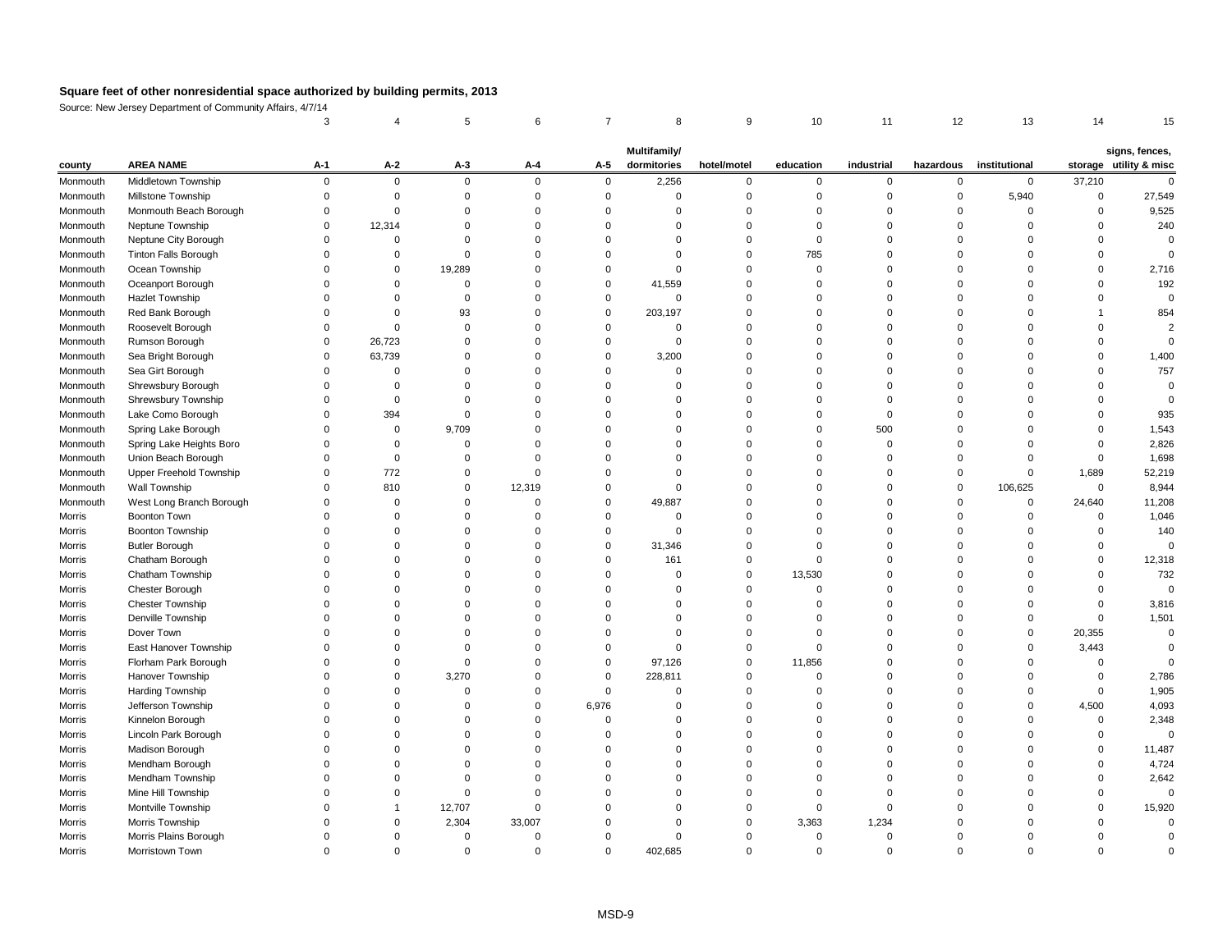Source: New Jersey Department of Community Affairs, 4/7/14

|          |                            |          |                |             |          |             | Multifamily/ |             |           |            |             |               |        | signs, fences,         |
|----------|----------------------------|----------|----------------|-------------|----------|-------------|--------------|-------------|-----------|------------|-------------|---------------|--------|------------------------|
| county   | <b>AREA NAME</b>           | $A-1$    | $A-2$          | $A-3$       | $A - 4$  | $A-5$       | dormitories  | hotel/motel | education | industrial | hazardous   | institutional |        | storage utility & misc |
| Monmouth | Middletown Township        | $\Omega$ | $\overline{0}$ | $\mathbf 0$ | $\Omega$ | $\mathbf 0$ | 2,256        | $\Omega$    | 0         | $\Omega$   | $\mathbf 0$ | $\mathbf 0$   | 37,210 |                        |
| Monmouth | Millstone Township         |          |                |             |          |             |              |             |           |            |             | 5,940         |        | 27,549                 |
| Monmouth | Monmouth Beach Borough     |          |                |             |          |             |              |             |           |            |             | $\Omega$      |        | 9,525                  |
| Monmouth | Neptune Township           |          | 12,314         |             |          |             |              |             |           |            |             |               |        | 240                    |
| Monmouth | Neptune City Borough       |          |                |             |          |             |              |             |           |            |             |               |        |                        |
| Monmouth | Tinton Falls Borough       |          |                |             |          |             |              |             | 785       |            |             |               |        |                        |
| Monmouth | Ocean Township             |          | 0              | 19,289      |          |             | $\Omega$     |             |           |            |             | ∩             |        | 2,716                  |
| Monmouth | Oceanport Borough          |          |                |             |          | 0           | 41,559       |             |           |            |             |               |        | 192                    |
| Monmouth | <b>Hazlet Township</b>     |          |                |             |          | $\Omega$    | $\Omega$     |             |           |            |             |               |        |                        |
| Monmouth | Red Bank Borough           |          |                | 93          |          | 0           | 203,197      |             |           |            |             |               |        | 854                    |
| Monmouth | Roosevelt Borough          |          |                | ∩           |          |             | 0            |             |           |            |             |               |        |                        |
| Monmouth | Rumson Borough             |          | 26,723         |             |          |             | ∩            |             |           |            |             |               |        |                        |
| Monmouth | Sea Bright Borough         |          | 63,739         |             |          | $\Omega$    | 3,200        |             |           |            |             |               |        | 1,400                  |
| Monmouth | Sea Girt Borough           |          |                |             |          |             |              |             |           |            |             |               |        | 757                    |
| Monmouth | Shrewsbury Borough         |          |                |             |          |             |              |             |           |            |             |               |        |                        |
| Monmouth | <b>Shrewsbury Township</b> |          |                |             |          |             |              |             |           |            |             |               |        |                        |
| Monmouth | Lake Como Borough          |          | 394            |             |          |             |              |             |           |            |             |               |        | 935                    |
| Monmouth | Spring Lake Borough        |          | 0              | 9,709       |          |             |              |             |           | 500        |             |               |        | 1,543                  |
| Monmouth | Spring Lake Heights Boro   |          | 0              |             |          |             |              |             |           |            |             |               |        | 2,826                  |
| Monmouth | Union Beach Borough        |          |                |             |          |             |              |             |           |            |             |               |        | 1,698                  |
| Monmouth | Upper Freehold Township    |          | 772            |             |          |             |              |             |           |            |             | $\Omega$      | 1,689  | 52,219                 |
| Monmouth | Wall Township              |          | 810            | $\Omega$    | 12,319   |             | $\Omega$     |             |           |            |             | 106,625       | 0      | 8,944                  |
| Monmouth | West Long Branch Borough   |          |                |             |          |             | 49,887       |             |           |            |             | $\Omega$      | 24,640 | 11,208                 |
| Morris   | <b>Boonton Town</b>        |          |                |             |          |             |              |             |           |            |             |               |        | 1,046                  |
| Morris   | <b>Boonton Township</b>    |          |                |             |          |             | 0            |             |           |            |             |               |        | 140                    |
| Morris   | <b>Butler Borough</b>      |          |                |             |          |             | 31,346       |             |           |            |             |               |        |                        |
| Morris   | Chatham Borough            |          |                |             |          |             | 161          |             |           |            |             |               |        | 12,318                 |
| Morris   | Chatham Township           |          |                |             |          |             |              |             | 13,530    |            |             |               |        | 732                    |
| Morris   | Chester Borough            |          |                |             |          |             |              |             |           |            |             |               |        |                        |
| Morris   | <b>Chester Township</b>    |          |                |             |          |             |              |             |           |            |             |               |        | 3,816                  |
| Morris   | Denville Township          |          |                |             |          |             |              |             |           |            |             |               |        | 1,501                  |
| Morris   | Dover Town                 |          |                |             |          |             |              |             |           |            |             | 0             | 20,355 | $\Omega$               |
| Morris   | East Hanover Township      |          |                |             |          |             | ∩            |             |           |            |             |               | 3,443  |                        |
| Morris   | Florham Park Borough       |          |                |             |          | $\Omega$    | 97,126       |             | 11,856    |            |             |               |        |                        |
| Morris   | Hanover Township           |          |                | 3,270       |          | $\Omega$    | 228,811      |             |           |            |             |               |        | 2,786                  |
| Morris   | <b>Harding Township</b>    |          |                |             |          |             | ∩            |             |           |            |             |               |        | 1,905                  |
| Morris   | Jefferson Township         |          |                |             |          | 6,976       |              |             |           |            |             |               | 4,500  | 4,093                  |
| Morris   | Kinnelon Borough           |          |                |             |          |             |              |             |           |            |             |               |        | 2,348                  |
| Morris   | Lincoln Park Borough       |          |                |             |          |             |              |             |           |            |             |               |        | $\Omega$               |
| Morris   | Madison Borough            |          |                |             |          |             |              |             |           |            |             |               |        | 11,487                 |
| Morris   | Mendham Borough            |          |                |             |          |             |              |             |           |            |             |               |        | 4,724                  |
| Morris   | Mendham Township           |          |                |             |          |             |              |             |           |            |             |               |        | 2,642                  |
| Morris   | Mine Hill Township         |          |                |             |          |             |              |             |           |            |             |               |        | $\mathbf 0$            |
| Morris   | Montville Township         |          |                | 12,707      |          |             |              |             |           |            |             |               |        | 15,920                 |
| Morris   | Morris Township            |          |                | 2,304       | 33,007   |             |              |             | 3,363     | 1,234      |             |               |        |                        |
| Morris   | Morris Plains Borough      |          |                |             |          |             | ∩            |             |           |            |             |               |        |                        |
| Morris   | Morristown Town            | 0        |                | $\Omega$    |          | 0           | 402,685      |             |           |            | 0           | n             |        |                        |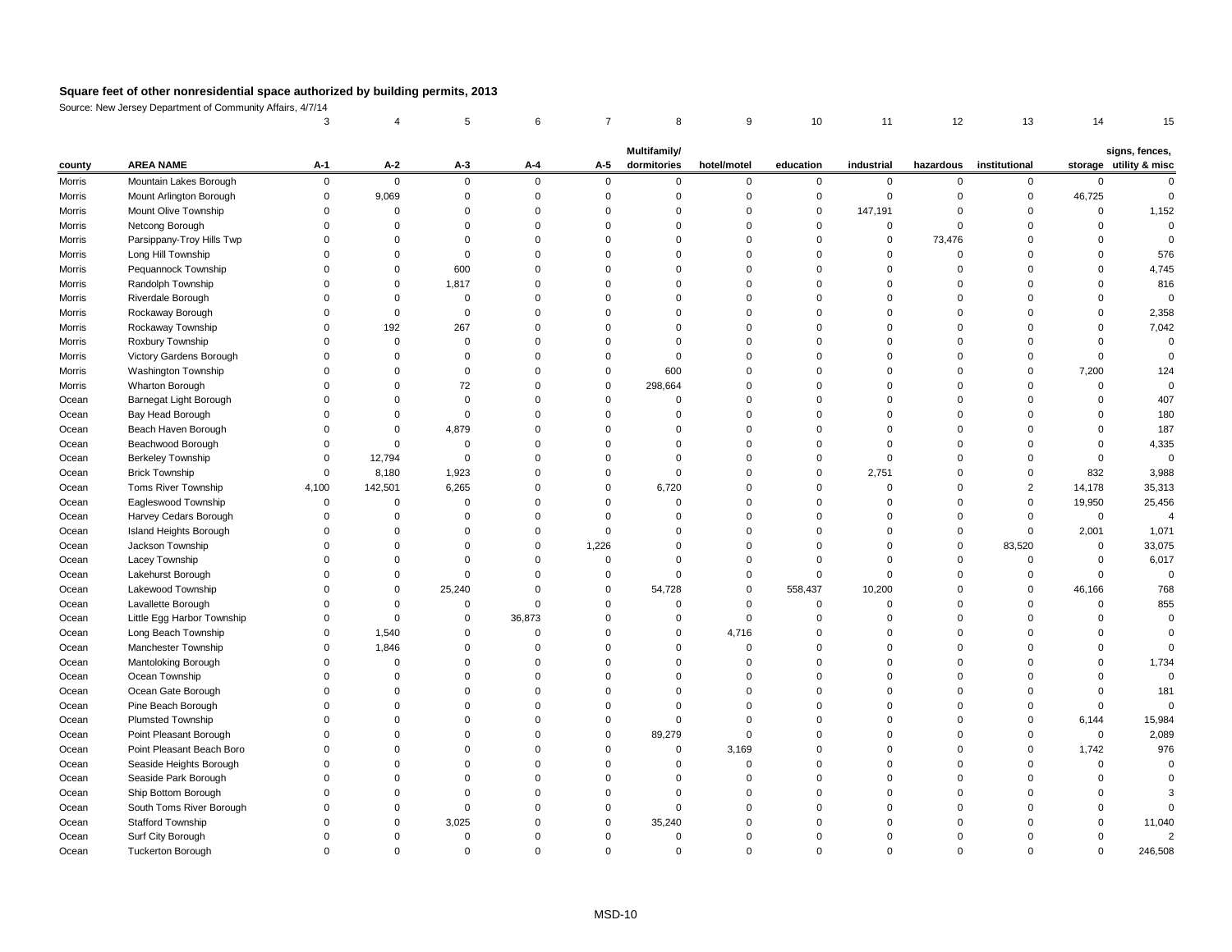Source: New Jersey Department of Community Affairs, 4/7/14

|               |                            |          |          |          |          |       | <b>Multifamily/</b> |             |           |            |           |               |          | signs, fences,         |
|---------------|----------------------------|----------|----------|----------|----------|-------|---------------------|-------------|-----------|------------|-----------|---------------|----------|------------------------|
| county        | <b>AREA NAME</b>           | $A-1$    | $A-2$    | $A-3$    | $A-4$    | $A-5$ | dormitories         | hotel/motel | education | industrial | hazardous | institutional |          | storage utility & misc |
| <b>Morris</b> | Mountain Lakes Borough     | $\Omega$ | $\Omega$ | $\Omega$ | $\Omega$ |       | $\Omega$            |             |           |            |           |               |          |                        |
| <b>Morris</b> | Mount Arlington Borough    |          | 9,069    |          |          |       |                     |             |           |            |           |               | 46,725   |                        |
| <b>Morris</b> | Mount Olive Township       |          |          |          |          |       |                     |             | 0         | 147,191    |           |               | $\Omega$ | 1,152                  |
| <b>Morris</b> | Netcong Borough            |          |          |          |          |       |                     |             |           |            |           |               |          |                        |
| <b>Morris</b> | Parsippany-Troy Hills Twp  |          |          |          |          |       |                     |             |           |            | 73,476    |               |          |                        |
| <b>Morris</b> | Long Hill Township         |          |          |          |          |       |                     |             |           |            |           |               |          | 576                    |
| <b>Morris</b> | Pequannock Township        |          |          | 600      |          |       |                     |             |           |            |           |               |          | 4,745                  |
| <b>Morris</b> | Randolph Township          |          |          | 1,817    |          |       |                     |             |           |            |           |               |          | 816                    |
| Morris        | Riverdale Borough          |          |          |          |          |       |                     |             |           |            |           |               |          |                        |
| Morris        | Rockaway Borough           |          |          | ∩        |          |       |                     |             |           |            |           |               |          | 2,358                  |
| Morris        | Rockaway Township          |          | 192      | 267      |          |       |                     |             |           |            |           |               |          | 7,042                  |
| Morris        | Roxbury Township           |          |          |          |          |       |                     |             |           |            |           |               |          |                        |
| <b>Morris</b> | Victory Gardens Borough    |          |          |          |          |       |                     |             |           |            |           |               |          |                        |
| <b>Morris</b> | Washington Township        |          |          |          |          |       | 600                 |             |           |            |           |               | 7,200    | 124                    |
| <b>Morris</b> | Wharton Borough            |          |          | 72       |          |       | 298,664             |             |           |            |           |               |          |                        |
| Ocean         | Barnegat Light Borough     |          |          |          |          |       |                     |             |           |            |           |               |          | 407                    |
| Ocean         | Bay Head Borough           |          |          |          |          |       |                     |             |           |            |           |               |          | 180                    |
| Ocean         | Beach Haven Borough        |          |          | 4,879    |          |       |                     |             |           |            |           |               |          | 187                    |
| Ocean         | Beachwood Borough          |          |          |          |          |       |                     |             |           |            |           |               |          | 4,335                  |
| Ocean         | <b>Berkeley Township</b>   |          | 12,794   | $\Omega$ |          |       |                     |             |           |            |           |               |          |                        |
| Ocean         | <b>Brick Township</b>      |          | 8,180    | 1,923    |          |       | $\Omega$            |             |           | 2,751      |           |               | 832      | 3,988                  |
| Ocean         | Toms River Township        | 4,100    | 142,501  | 6,265    |          |       | 6,720               |             |           |            |           |               | 14,178   | 35,313                 |
| Ocean         | Eagleswood Township        |          |          |          |          |       |                     |             |           |            |           |               | 19,950   | 25,456                 |
| Ocean         | Harvey Cedars Borough      |          |          |          |          |       |                     |             |           |            |           |               | $\Omega$ |                        |
| Ocean         | Island Heights Borough     |          |          |          |          |       |                     |             |           |            |           |               | 2,001    | 1,071                  |
| Ocean         | Jackson Township           |          |          |          |          | 1,226 |                     |             |           |            |           | 83,520        |          | 33,075                 |
| Ocean         | Lacey Township             |          |          |          |          |       |                     |             |           |            |           |               |          | 6,017                  |
| Ocean         | Lakehurst Borough          |          |          |          |          |       |                     |             |           |            |           |               |          |                        |
| Ocean         | Lakewood Township          |          |          | 25,240   |          |       | 54,728              |             | 558,437   | 10,200     |           |               | 46,166   | 768                    |
| Ocean         | Lavallette Borough         |          |          |          |          |       |                     |             |           |            |           |               |          | 855                    |
| Ocean         | Little Egg Harbor Township |          |          |          | 36,873   |       |                     |             |           |            |           |               |          |                        |
| Ocean         | Long Beach Township        |          | 1,540    |          |          |       |                     | 4,716       |           |            |           |               |          |                        |
| Ocean         | Manchester Township        |          | 1,846    |          |          |       |                     |             |           |            |           |               |          |                        |
| Ocean         | Mantoloking Borough        |          | 0        |          |          |       |                     |             |           |            |           |               |          | 1,734                  |
| Ocean         | Ocean Township             |          |          |          |          |       |                     |             |           |            |           |               |          |                        |
| Ocean         | Ocean Gate Borough         |          |          |          |          |       |                     |             |           |            |           |               |          | 181                    |
| Ocean         | Pine Beach Borough         |          |          |          |          |       |                     |             |           |            |           |               |          |                        |
| Ocean         | Plumsted Township          |          |          |          |          |       |                     |             |           |            |           |               | 6,144    | 15,984                 |
| Ocean         | Point Pleasant Borough     |          |          |          |          |       | 89,279              |             |           |            |           |               |          | 2,089                  |
| Ocean         | Point Pleasant Beach Boro  |          |          |          |          |       |                     | 3,169       |           |            |           |               | 1,742    | 976                    |
| Ocean         | Seaside Heights Borough    |          |          |          |          |       |                     |             |           |            |           |               |          |                        |
| Ocean         | Seaside Park Borough       |          |          |          |          |       |                     |             |           |            |           |               |          |                        |
| Ocean         | Ship Bottom Borough        |          |          |          |          |       |                     |             |           |            |           |               |          |                        |
| Ocean         | South Toms River Borough   |          |          |          |          |       |                     |             |           |            |           |               |          |                        |
| Ocean         | <b>Stafford Township</b>   |          |          | 3,025    |          |       | 35,240              |             |           |            |           |               |          | 11,040                 |
| Ocean         | Surf City Borough          |          |          |          |          |       |                     |             |           |            |           |               |          |                        |
| Ocean         | <b>Tuckerton Borough</b>   | 0        | 0        | 0        |          |       | 0                   | 0           |           | $\Omega$   |           |               |          | 246,508                |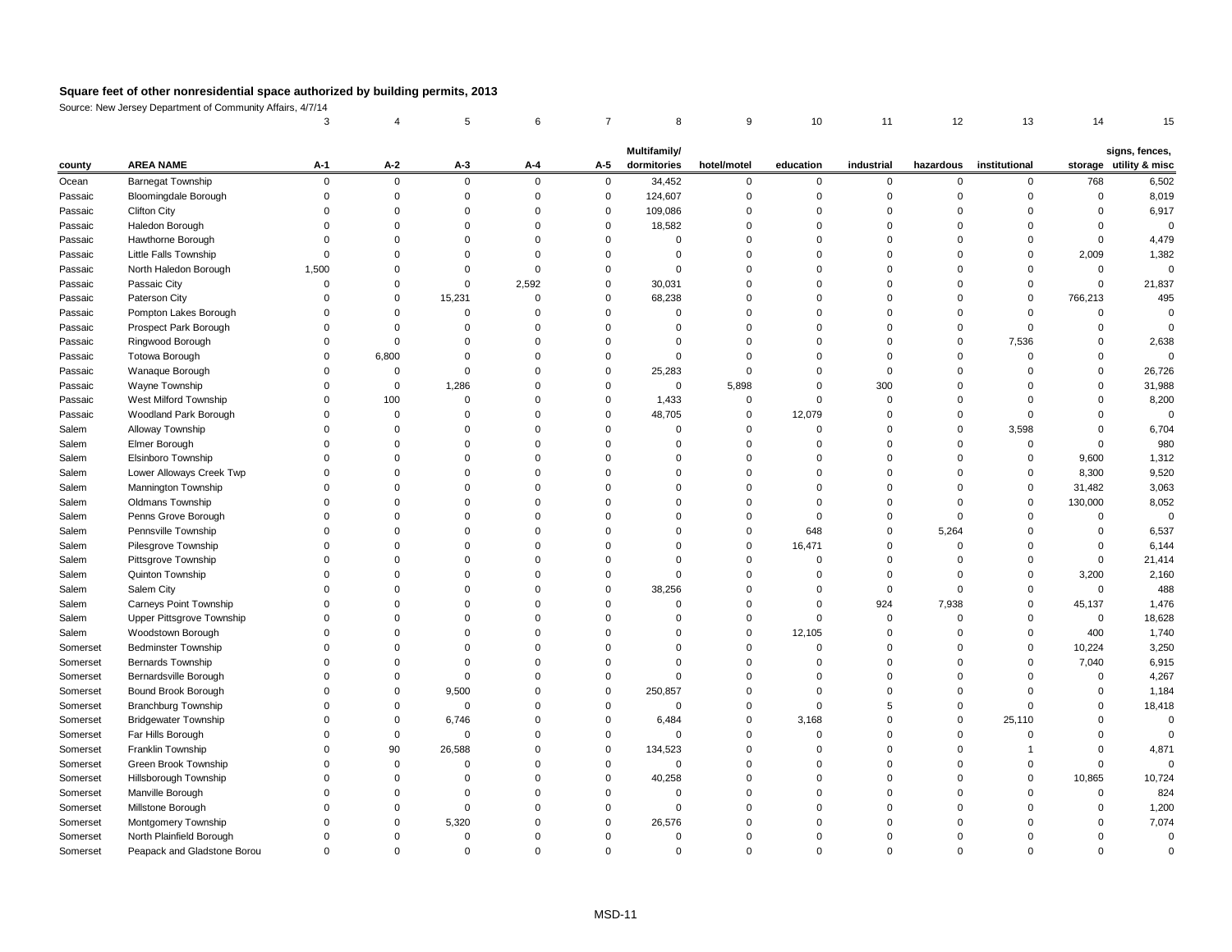Source: New Jersey Department of Community Affairs, 4/7/14

|          |                               |       |                |             |          |             | Multifamily/ |             |           |            |           |               |         | signs, fences,         |
|----------|-------------------------------|-------|----------------|-------------|----------|-------------|--------------|-------------|-----------|------------|-----------|---------------|---------|------------------------|
| county   | <b>AREA NAME</b>              | $A-1$ | $A-2$          | $A-3$       | $A-4$    | $A-5$       | dormitories  | hotel/motel | education | industrial | hazardous | institutional |         | storage utility & misc |
| Ocean    | <b>Barnegat Township</b>      |       | $\overline{0}$ | $\mathbf 0$ | $\Omega$ | $\mathbf 0$ | 34,452       | $\Omega$    | $\Omega$  | $\Omega$   | $\Omega$  | $\Omega$      | 768     | 6,502                  |
| Passaic  | <b>Bloomingdale Borough</b>   |       |                |             |          | 0           | 124,607      |             |           |            |           |               |         | 8,019                  |
| Passaic  | <b>Clifton City</b>           |       |                |             |          | $\Omega$    | 109,086      |             |           |            |           |               |         | 6,917                  |
| Passaic  | Haledon Borough               |       |                |             |          |             | 18,582       |             |           |            |           |               |         |                        |
| Passaic  | Hawthorne Borough             |       |                |             |          |             |              |             |           |            |           |               |         | 4,479                  |
| Passaic  | Little Falls Township         |       |                |             |          |             |              |             |           |            |           |               | 2,009   | 1,382                  |
| Passaic  | North Haledon Borough         | 1,500 |                |             |          |             | $\Omega$     |             |           |            |           |               |         | 0                      |
| Passaic  | Passaic City                  |       |                |             | 2,592    | 0           | 30,031       |             |           |            |           |               |         | 21,837                 |
| Passaic  | Paterson City                 |       | 0              | 15,231      |          | $\Omega$    | 68,238       |             |           |            |           |               | 766,213 | 495                    |
| Passaic  | Pompton Lakes Borough         |       |                |             |          |             |              |             |           |            |           |               |         |                        |
| Passaic  | Prospect Park Borough         |       |                |             |          |             | 0            |             |           |            |           |               |         |                        |
| Passaic  | Ringwood Borough              |       |                |             |          |             |              |             |           |            |           | 7,536         |         | 2,638                  |
| Passaic  | Totowa Borough                |       | 6,800          |             |          |             | ∩            |             |           |            |           |               |         |                        |
| Passaic  | Wanaque Borough               |       |                |             |          |             | 25,283       |             |           |            |           |               |         | 26,726                 |
| Passaic  | Wayne Township                |       | 0              | 1,286       |          | $\Omega$    | $\mathbf 0$  | 5,898       |           | 300        |           |               |         | 31,988                 |
| Passaic  | West Milford Township         |       | 100            |             |          |             | 1,433        |             |           |            |           |               |         | 8,200                  |
| Passaic  | Woodland Park Borough         |       |                |             |          | $\Omega$    | 48,705       |             | 12,079    |            |           |               |         |                        |
| Salem    | Alloway Township              |       |                |             |          |             |              |             |           |            |           | 3,598         |         | 6,704                  |
| Salem    | Elmer Borough                 |       |                |             |          |             |              |             |           |            |           |               |         | 980                    |
| Salem    | Elsinboro Township            |       |                |             |          |             |              |             |           |            |           |               | 9,600   | 1,312                  |
| Salem    | Lower Alloways Creek Twp      |       |                |             |          |             |              |             |           |            |           |               | 8,300   | 9,520                  |
| Salem    | Mannington Township           |       |                |             |          |             |              |             |           |            |           |               | 31,482  | 3,063                  |
| Salem    | Oldmans Township              |       |                |             |          |             |              |             |           |            |           |               | 130,000 | 8,052                  |
| Salem    | Penns Grove Borough           |       |                |             |          |             |              |             |           |            |           |               |         |                        |
| Salem    | Pennsville Township           |       |                |             |          |             |              |             | 648       |            | 5,264     |               |         | 6,537                  |
| Salem    | Pilesgrove Township           |       |                |             |          |             |              |             | 16,471    |            |           |               |         | 6,144                  |
| Salem    | Pittsgrove Township           |       |                |             |          |             | 0            |             | 0         |            |           |               |         | 21,414                 |
| Salem    | Quinton Township              |       |                |             |          |             |              |             |           |            |           |               | 3,200   | 2,160                  |
| Salem    | Salem City                    |       |                |             |          |             | 38,256       |             |           |            |           |               |         | 488                    |
| Salem    | <b>Carneys Point Township</b> |       |                |             |          |             |              |             |           | 924        | 7,938     |               | 45,137  | 1,476                  |
| Salem    | Upper Pittsgrove Township     |       |                |             |          |             |              |             |           |            |           |               |         | 18,628                 |
| Salem    | Woodstown Borough             |       |                |             |          |             |              |             | 12,105    |            |           |               | 400     | 1,740                  |
| Somerset | <b>Bedminster Township</b>    |       |                |             |          |             |              |             |           |            |           |               | 10,224  | 3,250                  |
| Somerset | Bernards Township             |       |                |             |          |             |              |             |           |            |           |               | 7,040   | 6,915                  |
| Somerset | Bernardsville Borough         |       |                |             |          |             |              |             |           |            |           |               |         | 4,267                  |
| Somerset | Bound Brook Borough           |       | 0              | 9,500       |          | $\Omega$    | 250,857      |             |           |            |           |               |         | 1,184                  |
| Somerset | Branchburg Township           |       |                |             |          |             | $\Omega$     |             |           |            |           |               |         | 18,418                 |
| Somerset | <b>Bridgewater Township</b>   |       | 0              | 6,746       |          |             | 6,484        |             | 3,168     |            |           | 25,110        |         |                        |
| Somerset | Far Hills Borough             |       |                |             |          |             |              |             |           |            |           |               |         |                        |
| Somerset | Franklin Township             |       | 90             | 26,588      |          |             | 134,523      |             |           |            |           |               |         | 4,871                  |
| Somerset | <b>Green Brook Township</b>   |       |                |             |          |             | $\Omega$     |             |           |            |           |               |         |                        |
| Somerset | Hillsborough Township         |       |                |             |          |             | 40,258       |             |           |            |           |               | 10,865  | 10,724                 |
| Somerset | Manville Borough              |       |                |             |          |             |              |             |           |            |           |               |         | 824                    |
| Somerset | Millstone Borough             |       |                |             |          |             |              |             |           |            |           |               |         | 1,200                  |
| Somerset | Montgomery Township           |       |                | 5,320       |          |             | 26,576       |             |           |            |           |               |         | 7,074                  |
| Somerset | North Plainfield Borough      |       |                |             |          |             |              |             |           |            |           |               |         |                        |
| Somerset | Peapack and Gladstone Borou   |       | $\Omega$       | 0           |          |             | 0            | 0           |           | 0          |           |               |         |                        |
|          |                               |       |                |             |          |             |              |             |           |            |           |               |         |                        |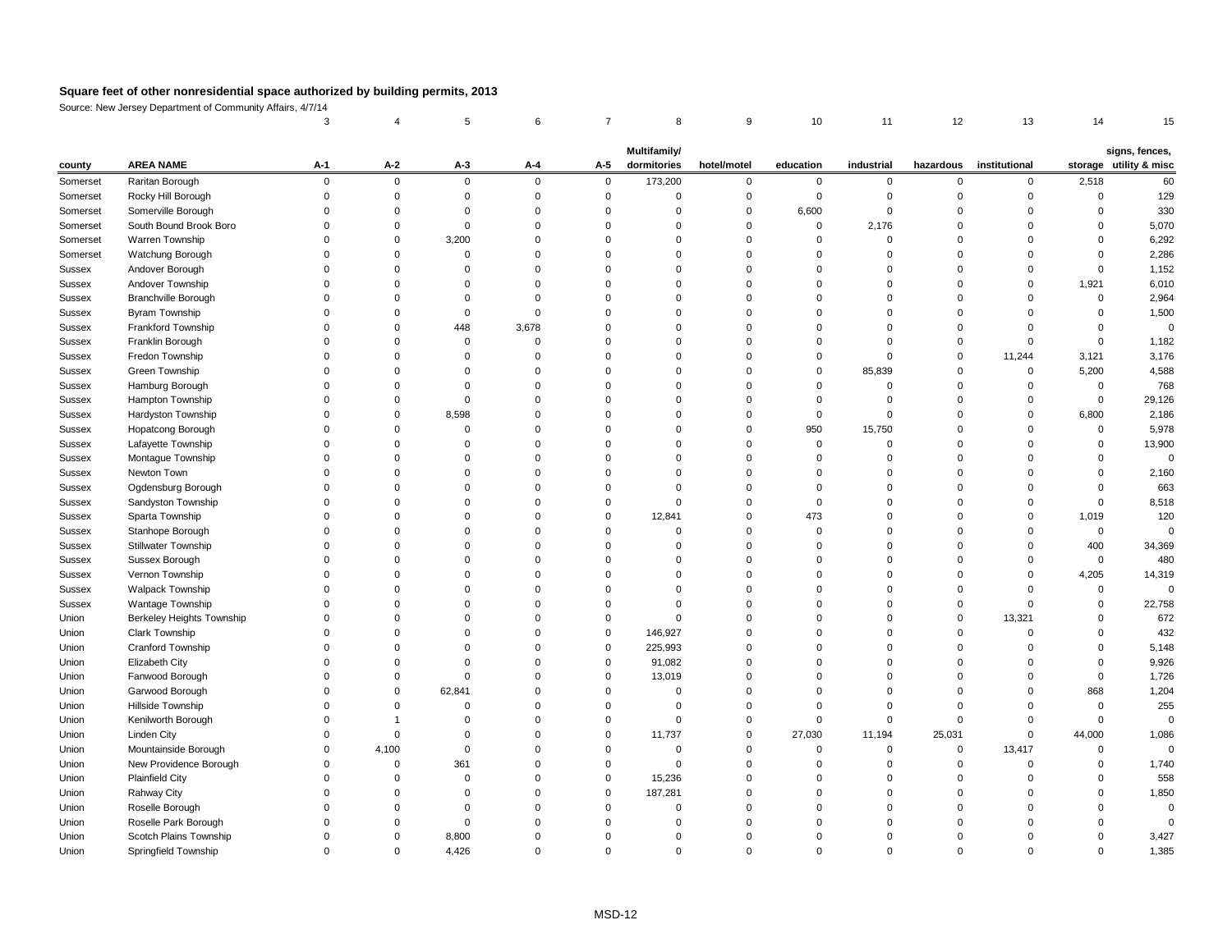Source: New Jersey Department of Community Affairs, 4/7/14

| storage utility & misc<br><b>AREA NAME</b><br>$A-2$<br>$A-3$<br>$A-1$<br>$A-4$<br>$A-5$<br>dormitories<br>hotel/motel<br>education<br>industrial<br>institutional<br>hazardous<br>county<br>173,200<br>Raritan Borough<br>$\mathbf 0$<br>$\overline{0}$<br>2,518<br>Somerset<br>$\Omega$<br>$\mathbf 0$<br>$\overline{0}$<br>60<br>0<br>0<br>$\mathbf{0}$<br>$\Omega$<br>$\Omega$<br>Rocky Hill Borough<br>Somerset<br>∩<br>Somerville Borough<br>330<br>6,600<br>Somerset<br>∩<br>South Bound Brook Boro<br>5,070<br>2,176<br>Somerset<br>0<br>Warren Township<br>3,200<br>6,292<br>Somerset<br>0<br>2,286<br>Watchung Borough<br>Somerset<br>1,152<br>Andover Borough<br>Sussex<br>6,010<br>Andover Township<br>1,921<br>Sussex<br>Branchville Borough<br>2,964<br>Sussex<br>$\Omega$<br><b>Byram Township</b><br>1,500<br><b>Sussex</b><br>Frankford Township<br>3,678<br>448<br><b>Sussex</b><br>0<br>Franklin Borough<br>1,182<br>Sussex<br>Fredon Township<br>3,176<br>11,244<br>3,121<br><b>Sussex</b><br>85,839<br>5,200<br>4,588<br>Green Township<br><b>Sussex</b><br>0<br>Hamburg Borough<br>768<br><b>Sussex</b><br>Hampton Township<br>29,126<br>Sussex<br>Hardyston Township<br>8,598<br>6,800<br>2,186<br><b>Sussex</b><br>0<br>5,978<br>Hopatcong Borough<br>950<br>15,750<br>Sussex<br>$\Omega$<br>13,900<br>Lafayette Township<br><b>Sussex</b><br>0<br>Montague Township<br>Sussex<br>Newton Town<br>2,160<br><b>Sussex</b><br>Ogdensburg Borough<br>Sussex<br>Sandyston Township<br><b>Sussex</b><br>Sparta Township<br>473<br>12,841<br>1,019<br>Sussex<br>0<br>Stanhope Borough<br>Sussex<br><b>Stillwater Township</b><br>34,369<br>400<br>Sussex<br>Sussex Borough<br>Sussex<br>$\Omega$<br><b>Sussex</b><br>Vernon Township<br>4,205<br>14,319<br><b>Walpack Township</b><br>Sussex<br>Wantage Township<br>Sussex<br>Berkeley Heights Township<br>Union<br>13,321<br>Clark Township<br>Union<br>146,927<br>$\Omega$<br>Cranford Township<br>5,148<br>Union<br>225,993<br>0<br>Elizabeth City<br>91,082<br>Union<br>$\Omega$<br>Fanwood Borough<br>Union<br>13,019<br>Garwood Borough<br>62,841<br>868<br>Union<br>$\Omega$<br>Hillside Township<br>Union<br>Kenilworth Borough<br>Union<br>Linden City<br>11,737<br>44,000<br>Union<br>27,030<br>11,194<br>25,031<br>∩<br>$\Omega$<br>$\Omega$<br>Mountainside Borough<br>4,100<br>13,417<br>Union<br>$\Omega$<br>$\Omega$<br>New Providence Borough<br>361<br>Union<br>$\Omega$<br><b>Plainfield City</b><br>15,236<br>Union<br>$\Omega$<br>1,850<br><b>Rahway City</b><br>187,281<br>Union<br>$\Omega$<br>Union<br>Roselle Borough<br>Roselle Park Borough<br>Union<br>Scotch Plains Township<br>8,800<br>Union<br>0<br>Springfield Township<br>4,426<br>Union<br>$\mathbf 0$<br>0<br>0<br>$\Omega$<br>$\Omega$ |  | <b>Multifamily/</b> |  |  |  |  |  |  |  |  |  |  |                |
|--------------------------------------------------------------------------------------------------------------------------------------------------------------------------------------------------------------------------------------------------------------------------------------------------------------------------------------------------------------------------------------------------------------------------------------------------------------------------------------------------------------------------------------------------------------------------------------------------------------------------------------------------------------------------------------------------------------------------------------------------------------------------------------------------------------------------------------------------------------------------------------------------------------------------------------------------------------------------------------------------------------------------------------------------------------------------------------------------------------------------------------------------------------------------------------------------------------------------------------------------------------------------------------------------------------------------------------------------------------------------------------------------------------------------------------------------------------------------------------------------------------------------------------------------------------------------------------------------------------------------------------------------------------------------------------------------------------------------------------------------------------------------------------------------------------------------------------------------------------------------------------------------------------------------------------------------------------------------------------------------------------------------------------------------------------------------------------------------------------------------------------------------------------------------------------------------------------------------------------------------------------------------------------------------------------------------------------------------------------------------------------------------------------------------------------------------------------------------------------------------------------------------------------------------------------------------------------------------------------------------------------------------------------------------------------------------------------------------------------------------------------------------------------------|--|---------------------|--|--|--|--|--|--|--|--|--|--|----------------|
|                                                                                                                                                                                                                                                                                                                                                                                                                                                                                                                                                                                                                                                                                                                                                                                                                                                                                                                                                                                                                                                                                                                                                                                                                                                                                                                                                                                                                                                                                                                                                                                                                                                                                                                                                                                                                                                                                                                                                                                                                                                                                                                                                                                                                                                                                                                                                                                                                                                                                                                                                                                                                                                                                                                                                                                            |  |                     |  |  |  |  |  |  |  |  |  |  | signs, fences, |
|                                                                                                                                                                                                                                                                                                                                                                                                                                                                                                                                                                                                                                                                                                                                                                                                                                                                                                                                                                                                                                                                                                                                                                                                                                                                                                                                                                                                                                                                                                                                                                                                                                                                                                                                                                                                                                                                                                                                                                                                                                                                                                                                                                                                                                                                                                                                                                                                                                                                                                                                                                                                                                                                                                                                                                                            |  |                     |  |  |  |  |  |  |  |  |  |  |                |
|                                                                                                                                                                                                                                                                                                                                                                                                                                                                                                                                                                                                                                                                                                                                                                                                                                                                                                                                                                                                                                                                                                                                                                                                                                                                                                                                                                                                                                                                                                                                                                                                                                                                                                                                                                                                                                                                                                                                                                                                                                                                                                                                                                                                                                                                                                                                                                                                                                                                                                                                                                                                                                                                                                                                                                                            |  |                     |  |  |  |  |  |  |  |  |  |  | 129            |
|                                                                                                                                                                                                                                                                                                                                                                                                                                                                                                                                                                                                                                                                                                                                                                                                                                                                                                                                                                                                                                                                                                                                                                                                                                                                                                                                                                                                                                                                                                                                                                                                                                                                                                                                                                                                                                                                                                                                                                                                                                                                                                                                                                                                                                                                                                                                                                                                                                                                                                                                                                                                                                                                                                                                                                                            |  |                     |  |  |  |  |  |  |  |  |  |  |                |
|                                                                                                                                                                                                                                                                                                                                                                                                                                                                                                                                                                                                                                                                                                                                                                                                                                                                                                                                                                                                                                                                                                                                                                                                                                                                                                                                                                                                                                                                                                                                                                                                                                                                                                                                                                                                                                                                                                                                                                                                                                                                                                                                                                                                                                                                                                                                                                                                                                                                                                                                                                                                                                                                                                                                                                                            |  |                     |  |  |  |  |  |  |  |  |  |  |                |
|                                                                                                                                                                                                                                                                                                                                                                                                                                                                                                                                                                                                                                                                                                                                                                                                                                                                                                                                                                                                                                                                                                                                                                                                                                                                                                                                                                                                                                                                                                                                                                                                                                                                                                                                                                                                                                                                                                                                                                                                                                                                                                                                                                                                                                                                                                                                                                                                                                                                                                                                                                                                                                                                                                                                                                                            |  |                     |  |  |  |  |  |  |  |  |  |  |                |
|                                                                                                                                                                                                                                                                                                                                                                                                                                                                                                                                                                                                                                                                                                                                                                                                                                                                                                                                                                                                                                                                                                                                                                                                                                                                                                                                                                                                                                                                                                                                                                                                                                                                                                                                                                                                                                                                                                                                                                                                                                                                                                                                                                                                                                                                                                                                                                                                                                                                                                                                                                                                                                                                                                                                                                                            |  |                     |  |  |  |  |  |  |  |  |  |  |                |
|                                                                                                                                                                                                                                                                                                                                                                                                                                                                                                                                                                                                                                                                                                                                                                                                                                                                                                                                                                                                                                                                                                                                                                                                                                                                                                                                                                                                                                                                                                                                                                                                                                                                                                                                                                                                                                                                                                                                                                                                                                                                                                                                                                                                                                                                                                                                                                                                                                                                                                                                                                                                                                                                                                                                                                                            |  |                     |  |  |  |  |  |  |  |  |  |  |                |
|                                                                                                                                                                                                                                                                                                                                                                                                                                                                                                                                                                                                                                                                                                                                                                                                                                                                                                                                                                                                                                                                                                                                                                                                                                                                                                                                                                                                                                                                                                                                                                                                                                                                                                                                                                                                                                                                                                                                                                                                                                                                                                                                                                                                                                                                                                                                                                                                                                                                                                                                                                                                                                                                                                                                                                                            |  |                     |  |  |  |  |  |  |  |  |  |  |                |
|                                                                                                                                                                                                                                                                                                                                                                                                                                                                                                                                                                                                                                                                                                                                                                                                                                                                                                                                                                                                                                                                                                                                                                                                                                                                                                                                                                                                                                                                                                                                                                                                                                                                                                                                                                                                                                                                                                                                                                                                                                                                                                                                                                                                                                                                                                                                                                                                                                                                                                                                                                                                                                                                                                                                                                                            |  |                     |  |  |  |  |  |  |  |  |  |  |                |
|                                                                                                                                                                                                                                                                                                                                                                                                                                                                                                                                                                                                                                                                                                                                                                                                                                                                                                                                                                                                                                                                                                                                                                                                                                                                                                                                                                                                                                                                                                                                                                                                                                                                                                                                                                                                                                                                                                                                                                                                                                                                                                                                                                                                                                                                                                                                                                                                                                                                                                                                                                                                                                                                                                                                                                                            |  |                     |  |  |  |  |  |  |  |  |  |  |                |
|                                                                                                                                                                                                                                                                                                                                                                                                                                                                                                                                                                                                                                                                                                                                                                                                                                                                                                                                                                                                                                                                                                                                                                                                                                                                                                                                                                                                                                                                                                                                                                                                                                                                                                                                                                                                                                                                                                                                                                                                                                                                                                                                                                                                                                                                                                                                                                                                                                                                                                                                                                                                                                                                                                                                                                                            |  |                     |  |  |  |  |  |  |  |  |  |  | $\mathbf 0$    |
|                                                                                                                                                                                                                                                                                                                                                                                                                                                                                                                                                                                                                                                                                                                                                                                                                                                                                                                                                                                                                                                                                                                                                                                                                                                                                                                                                                                                                                                                                                                                                                                                                                                                                                                                                                                                                                                                                                                                                                                                                                                                                                                                                                                                                                                                                                                                                                                                                                                                                                                                                                                                                                                                                                                                                                                            |  |                     |  |  |  |  |  |  |  |  |  |  |                |
|                                                                                                                                                                                                                                                                                                                                                                                                                                                                                                                                                                                                                                                                                                                                                                                                                                                                                                                                                                                                                                                                                                                                                                                                                                                                                                                                                                                                                                                                                                                                                                                                                                                                                                                                                                                                                                                                                                                                                                                                                                                                                                                                                                                                                                                                                                                                                                                                                                                                                                                                                                                                                                                                                                                                                                                            |  |                     |  |  |  |  |  |  |  |  |  |  |                |
|                                                                                                                                                                                                                                                                                                                                                                                                                                                                                                                                                                                                                                                                                                                                                                                                                                                                                                                                                                                                                                                                                                                                                                                                                                                                                                                                                                                                                                                                                                                                                                                                                                                                                                                                                                                                                                                                                                                                                                                                                                                                                                                                                                                                                                                                                                                                                                                                                                                                                                                                                                                                                                                                                                                                                                                            |  |                     |  |  |  |  |  |  |  |  |  |  |                |
|                                                                                                                                                                                                                                                                                                                                                                                                                                                                                                                                                                                                                                                                                                                                                                                                                                                                                                                                                                                                                                                                                                                                                                                                                                                                                                                                                                                                                                                                                                                                                                                                                                                                                                                                                                                                                                                                                                                                                                                                                                                                                                                                                                                                                                                                                                                                                                                                                                                                                                                                                                                                                                                                                                                                                                                            |  |                     |  |  |  |  |  |  |  |  |  |  |                |
|                                                                                                                                                                                                                                                                                                                                                                                                                                                                                                                                                                                                                                                                                                                                                                                                                                                                                                                                                                                                                                                                                                                                                                                                                                                                                                                                                                                                                                                                                                                                                                                                                                                                                                                                                                                                                                                                                                                                                                                                                                                                                                                                                                                                                                                                                                                                                                                                                                                                                                                                                                                                                                                                                                                                                                                            |  |                     |  |  |  |  |  |  |  |  |  |  |                |
|                                                                                                                                                                                                                                                                                                                                                                                                                                                                                                                                                                                                                                                                                                                                                                                                                                                                                                                                                                                                                                                                                                                                                                                                                                                                                                                                                                                                                                                                                                                                                                                                                                                                                                                                                                                                                                                                                                                                                                                                                                                                                                                                                                                                                                                                                                                                                                                                                                                                                                                                                                                                                                                                                                                                                                                            |  |                     |  |  |  |  |  |  |  |  |  |  |                |
|                                                                                                                                                                                                                                                                                                                                                                                                                                                                                                                                                                                                                                                                                                                                                                                                                                                                                                                                                                                                                                                                                                                                                                                                                                                                                                                                                                                                                                                                                                                                                                                                                                                                                                                                                                                                                                                                                                                                                                                                                                                                                                                                                                                                                                                                                                                                                                                                                                                                                                                                                                                                                                                                                                                                                                                            |  |                     |  |  |  |  |  |  |  |  |  |  |                |
|                                                                                                                                                                                                                                                                                                                                                                                                                                                                                                                                                                                                                                                                                                                                                                                                                                                                                                                                                                                                                                                                                                                                                                                                                                                                                                                                                                                                                                                                                                                                                                                                                                                                                                                                                                                                                                                                                                                                                                                                                                                                                                                                                                                                                                                                                                                                                                                                                                                                                                                                                                                                                                                                                                                                                                                            |  |                     |  |  |  |  |  |  |  |  |  |  |                |
|                                                                                                                                                                                                                                                                                                                                                                                                                                                                                                                                                                                                                                                                                                                                                                                                                                                                                                                                                                                                                                                                                                                                                                                                                                                                                                                                                                                                                                                                                                                                                                                                                                                                                                                                                                                                                                                                                                                                                                                                                                                                                                                                                                                                                                                                                                                                                                                                                                                                                                                                                                                                                                                                                                                                                                                            |  |                     |  |  |  |  |  |  |  |  |  |  |                |
|                                                                                                                                                                                                                                                                                                                                                                                                                                                                                                                                                                                                                                                                                                                                                                                                                                                                                                                                                                                                                                                                                                                                                                                                                                                                                                                                                                                                                                                                                                                                                                                                                                                                                                                                                                                                                                                                                                                                                                                                                                                                                                                                                                                                                                                                                                                                                                                                                                                                                                                                                                                                                                                                                                                                                                                            |  |                     |  |  |  |  |  |  |  |  |  |  |                |
|                                                                                                                                                                                                                                                                                                                                                                                                                                                                                                                                                                                                                                                                                                                                                                                                                                                                                                                                                                                                                                                                                                                                                                                                                                                                                                                                                                                                                                                                                                                                                                                                                                                                                                                                                                                                                                                                                                                                                                                                                                                                                                                                                                                                                                                                                                                                                                                                                                                                                                                                                                                                                                                                                                                                                                                            |  |                     |  |  |  |  |  |  |  |  |  |  | 663            |
|                                                                                                                                                                                                                                                                                                                                                                                                                                                                                                                                                                                                                                                                                                                                                                                                                                                                                                                                                                                                                                                                                                                                                                                                                                                                                                                                                                                                                                                                                                                                                                                                                                                                                                                                                                                                                                                                                                                                                                                                                                                                                                                                                                                                                                                                                                                                                                                                                                                                                                                                                                                                                                                                                                                                                                                            |  |                     |  |  |  |  |  |  |  |  |  |  | 8,518          |
|                                                                                                                                                                                                                                                                                                                                                                                                                                                                                                                                                                                                                                                                                                                                                                                                                                                                                                                                                                                                                                                                                                                                                                                                                                                                                                                                                                                                                                                                                                                                                                                                                                                                                                                                                                                                                                                                                                                                                                                                                                                                                                                                                                                                                                                                                                                                                                                                                                                                                                                                                                                                                                                                                                                                                                                            |  |                     |  |  |  |  |  |  |  |  |  |  | 120            |
|                                                                                                                                                                                                                                                                                                                                                                                                                                                                                                                                                                                                                                                                                                                                                                                                                                                                                                                                                                                                                                                                                                                                                                                                                                                                                                                                                                                                                                                                                                                                                                                                                                                                                                                                                                                                                                                                                                                                                                                                                                                                                                                                                                                                                                                                                                                                                                                                                                                                                                                                                                                                                                                                                                                                                                                            |  |                     |  |  |  |  |  |  |  |  |  |  |                |
|                                                                                                                                                                                                                                                                                                                                                                                                                                                                                                                                                                                                                                                                                                                                                                                                                                                                                                                                                                                                                                                                                                                                                                                                                                                                                                                                                                                                                                                                                                                                                                                                                                                                                                                                                                                                                                                                                                                                                                                                                                                                                                                                                                                                                                                                                                                                                                                                                                                                                                                                                                                                                                                                                                                                                                                            |  |                     |  |  |  |  |  |  |  |  |  |  |                |
|                                                                                                                                                                                                                                                                                                                                                                                                                                                                                                                                                                                                                                                                                                                                                                                                                                                                                                                                                                                                                                                                                                                                                                                                                                                                                                                                                                                                                                                                                                                                                                                                                                                                                                                                                                                                                                                                                                                                                                                                                                                                                                                                                                                                                                                                                                                                                                                                                                                                                                                                                                                                                                                                                                                                                                                            |  |                     |  |  |  |  |  |  |  |  |  |  | 480            |
|                                                                                                                                                                                                                                                                                                                                                                                                                                                                                                                                                                                                                                                                                                                                                                                                                                                                                                                                                                                                                                                                                                                                                                                                                                                                                                                                                                                                                                                                                                                                                                                                                                                                                                                                                                                                                                                                                                                                                                                                                                                                                                                                                                                                                                                                                                                                                                                                                                                                                                                                                                                                                                                                                                                                                                                            |  |                     |  |  |  |  |  |  |  |  |  |  |                |
|                                                                                                                                                                                                                                                                                                                                                                                                                                                                                                                                                                                                                                                                                                                                                                                                                                                                                                                                                                                                                                                                                                                                                                                                                                                                                                                                                                                                                                                                                                                                                                                                                                                                                                                                                                                                                                                                                                                                                                                                                                                                                                                                                                                                                                                                                                                                                                                                                                                                                                                                                                                                                                                                                                                                                                                            |  |                     |  |  |  |  |  |  |  |  |  |  | 0              |
|                                                                                                                                                                                                                                                                                                                                                                                                                                                                                                                                                                                                                                                                                                                                                                                                                                                                                                                                                                                                                                                                                                                                                                                                                                                                                                                                                                                                                                                                                                                                                                                                                                                                                                                                                                                                                                                                                                                                                                                                                                                                                                                                                                                                                                                                                                                                                                                                                                                                                                                                                                                                                                                                                                                                                                                            |  |                     |  |  |  |  |  |  |  |  |  |  | 22,758         |
|                                                                                                                                                                                                                                                                                                                                                                                                                                                                                                                                                                                                                                                                                                                                                                                                                                                                                                                                                                                                                                                                                                                                                                                                                                                                                                                                                                                                                                                                                                                                                                                                                                                                                                                                                                                                                                                                                                                                                                                                                                                                                                                                                                                                                                                                                                                                                                                                                                                                                                                                                                                                                                                                                                                                                                                            |  |                     |  |  |  |  |  |  |  |  |  |  | 672            |
|                                                                                                                                                                                                                                                                                                                                                                                                                                                                                                                                                                                                                                                                                                                                                                                                                                                                                                                                                                                                                                                                                                                                                                                                                                                                                                                                                                                                                                                                                                                                                                                                                                                                                                                                                                                                                                                                                                                                                                                                                                                                                                                                                                                                                                                                                                                                                                                                                                                                                                                                                                                                                                                                                                                                                                                            |  |                     |  |  |  |  |  |  |  |  |  |  | 432            |
|                                                                                                                                                                                                                                                                                                                                                                                                                                                                                                                                                                                                                                                                                                                                                                                                                                                                                                                                                                                                                                                                                                                                                                                                                                                                                                                                                                                                                                                                                                                                                                                                                                                                                                                                                                                                                                                                                                                                                                                                                                                                                                                                                                                                                                                                                                                                                                                                                                                                                                                                                                                                                                                                                                                                                                                            |  |                     |  |  |  |  |  |  |  |  |  |  |                |
|                                                                                                                                                                                                                                                                                                                                                                                                                                                                                                                                                                                                                                                                                                                                                                                                                                                                                                                                                                                                                                                                                                                                                                                                                                                                                                                                                                                                                                                                                                                                                                                                                                                                                                                                                                                                                                                                                                                                                                                                                                                                                                                                                                                                                                                                                                                                                                                                                                                                                                                                                                                                                                                                                                                                                                                            |  |                     |  |  |  |  |  |  |  |  |  |  | 9,926          |
|                                                                                                                                                                                                                                                                                                                                                                                                                                                                                                                                                                                                                                                                                                                                                                                                                                                                                                                                                                                                                                                                                                                                                                                                                                                                                                                                                                                                                                                                                                                                                                                                                                                                                                                                                                                                                                                                                                                                                                                                                                                                                                                                                                                                                                                                                                                                                                                                                                                                                                                                                                                                                                                                                                                                                                                            |  |                     |  |  |  |  |  |  |  |  |  |  | 1,726          |
|                                                                                                                                                                                                                                                                                                                                                                                                                                                                                                                                                                                                                                                                                                                                                                                                                                                                                                                                                                                                                                                                                                                                                                                                                                                                                                                                                                                                                                                                                                                                                                                                                                                                                                                                                                                                                                                                                                                                                                                                                                                                                                                                                                                                                                                                                                                                                                                                                                                                                                                                                                                                                                                                                                                                                                                            |  |                     |  |  |  |  |  |  |  |  |  |  | 1,204          |
|                                                                                                                                                                                                                                                                                                                                                                                                                                                                                                                                                                                                                                                                                                                                                                                                                                                                                                                                                                                                                                                                                                                                                                                                                                                                                                                                                                                                                                                                                                                                                                                                                                                                                                                                                                                                                                                                                                                                                                                                                                                                                                                                                                                                                                                                                                                                                                                                                                                                                                                                                                                                                                                                                                                                                                                            |  |                     |  |  |  |  |  |  |  |  |  |  | 255            |
|                                                                                                                                                                                                                                                                                                                                                                                                                                                                                                                                                                                                                                                                                                                                                                                                                                                                                                                                                                                                                                                                                                                                                                                                                                                                                                                                                                                                                                                                                                                                                                                                                                                                                                                                                                                                                                                                                                                                                                                                                                                                                                                                                                                                                                                                                                                                                                                                                                                                                                                                                                                                                                                                                                                                                                                            |  |                     |  |  |  |  |  |  |  |  |  |  | 0              |
|                                                                                                                                                                                                                                                                                                                                                                                                                                                                                                                                                                                                                                                                                                                                                                                                                                                                                                                                                                                                                                                                                                                                                                                                                                                                                                                                                                                                                                                                                                                                                                                                                                                                                                                                                                                                                                                                                                                                                                                                                                                                                                                                                                                                                                                                                                                                                                                                                                                                                                                                                                                                                                                                                                                                                                                            |  |                     |  |  |  |  |  |  |  |  |  |  | 1,086          |
|                                                                                                                                                                                                                                                                                                                                                                                                                                                                                                                                                                                                                                                                                                                                                                                                                                                                                                                                                                                                                                                                                                                                                                                                                                                                                                                                                                                                                                                                                                                                                                                                                                                                                                                                                                                                                                                                                                                                                                                                                                                                                                                                                                                                                                                                                                                                                                                                                                                                                                                                                                                                                                                                                                                                                                                            |  |                     |  |  |  |  |  |  |  |  |  |  | 0              |
|                                                                                                                                                                                                                                                                                                                                                                                                                                                                                                                                                                                                                                                                                                                                                                                                                                                                                                                                                                                                                                                                                                                                                                                                                                                                                                                                                                                                                                                                                                                                                                                                                                                                                                                                                                                                                                                                                                                                                                                                                                                                                                                                                                                                                                                                                                                                                                                                                                                                                                                                                                                                                                                                                                                                                                                            |  |                     |  |  |  |  |  |  |  |  |  |  | 1,740          |
|                                                                                                                                                                                                                                                                                                                                                                                                                                                                                                                                                                                                                                                                                                                                                                                                                                                                                                                                                                                                                                                                                                                                                                                                                                                                                                                                                                                                                                                                                                                                                                                                                                                                                                                                                                                                                                                                                                                                                                                                                                                                                                                                                                                                                                                                                                                                                                                                                                                                                                                                                                                                                                                                                                                                                                                            |  |                     |  |  |  |  |  |  |  |  |  |  | 558            |
|                                                                                                                                                                                                                                                                                                                                                                                                                                                                                                                                                                                                                                                                                                                                                                                                                                                                                                                                                                                                                                                                                                                                                                                                                                                                                                                                                                                                                                                                                                                                                                                                                                                                                                                                                                                                                                                                                                                                                                                                                                                                                                                                                                                                                                                                                                                                                                                                                                                                                                                                                                                                                                                                                                                                                                                            |  |                     |  |  |  |  |  |  |  |  |  |  |                |
|                                                                                                                                                                                                                                                                                                                                                                                                                                                                                                                                                                                                                                                                                                                                                                                                                                                                                                                                                                                                                                                                                                                                                                                                                                                                                                                                                                                                                                                                                                                                                                                                                                                                                                                                                                                                                                                                                                                                                                                                                                                                                                                                                                                                                                                                                                                                                                                                                                                                                                                                                                                                                                                                                                                                                                                            |  |                     |  |  |  |  |  |  |  |  |  |  |                |
|                                                                                                                                                                                                                                                                                                                                                                                                                                                                                                                                                                                                                                                                                                                                                                                                                                                                                                                                                                                                                                                                                                                                                                                                                                                                                                                                                                                                                                                                                                                                                                                                                                                                                                                                                                                                                                                                                                                                                                                                                                                                                                                                                                                                                                                                                                                                                                                                                                                                                                                                                                                                                                                                                                                                                                                            |  |                     |  |  |  |  |  |  |  |  |  |  |                |
|                                                                                                                                                                                                                                                                                                                                                                                                                                                                                                                                                                                                                                                                                                                                                                                                                                                                                                                                                                                                                                                                                                                                                                                                                                                                                                                                                                                                                                                                                                                                                                                                                                                                                                                                                                                                                                                                                                                                                                                                                                                                                                                                                                                                                                                                                                                                                                                                                                                                                                                                                                                                                                                                                                                                                                                            |  |                     |  |  |  |  |  |  |  |  |  |  | 3,427          |
|                                                                                                                                                                                                                                                                                                                                                                                                                                                                                                                                                                                                                                                                                                                                                                                                                                                                                                                                                                                                                                                                                                                                                                                                                                                                                                                                                                                                                                                                                                                                                                                                                                                                                                                                                                                                                                                                                                                                                                                                                                                                                                                                                                                                                                                                                                                                                                                                                                                                                                                                                                                                                                                                                                                                                                                            |  |                     |  |  |  |  |  |  |  |  |  |  | 1,385          |